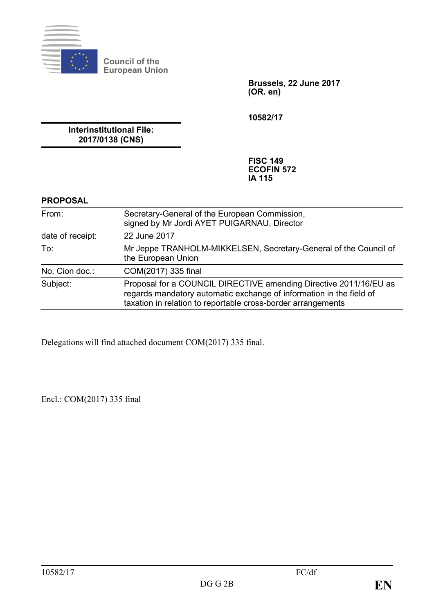

**Council of the European Union**

> **Brussels, 22 June 2017 (OR. en)**

**10582/17**

**Interinstitutional File: 2017/0138 (CNS)**

> **FISC 149 ECOFIN 572 IA 115**

#### **PROPOSAL**

| From:            | Secretary-General of the European Commission,<br>signed by Mr Jordi AYET PUIGARNAU, Director                                                                                                             |
|------------------|----------------------------------------------------------------------------------------------------------------------------------------------------------------------------------------------------------|
| date of receipt: | 22 June 2017                                                                                                                                                                                             |
| To:              | Mr Jeppe TRANHOLM-MIKKELSEN, Secretary-General of the Council of<br>the European Union                                                                                                                   |
| No. Cion doc.:   | COM(2017) 335 final                                                                                                                                                                                      |
| Subject:         | Proposal for a COUNCIL DIRECTIVE amending Directive 2011/16/EU as<br>regards mandatory automatic exchange of information in the field of<br>taxation in relation to reportable cross-border arrangements |

Delegations will find attached document COM(2017) 335 final.

Encl.: COM(2017) 335 final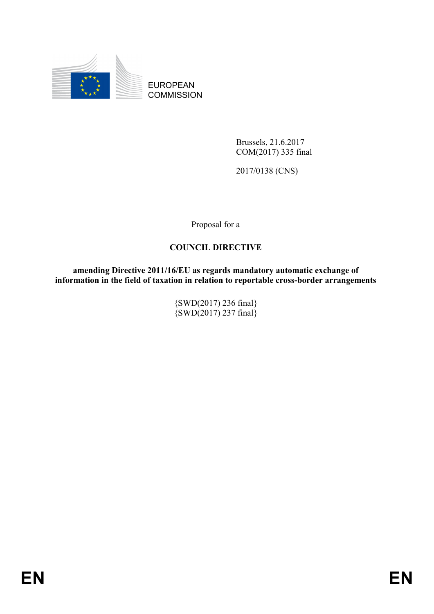

EUROPEAN **COMMISSION** 

> Brussels, 21.6.2017 COM(2017) 335 final

2017/0138 (CNS)

Proposal for a

### **COUNCIL DIRECTIVE**

**amending Directive 2011/16/EU as regards mandatory automatic exchange of information in the field of taxation in relation to reportable cross-border arrangements**

> {SWD(2017) 236 final}  $\{SWD(2017) 237 final\}$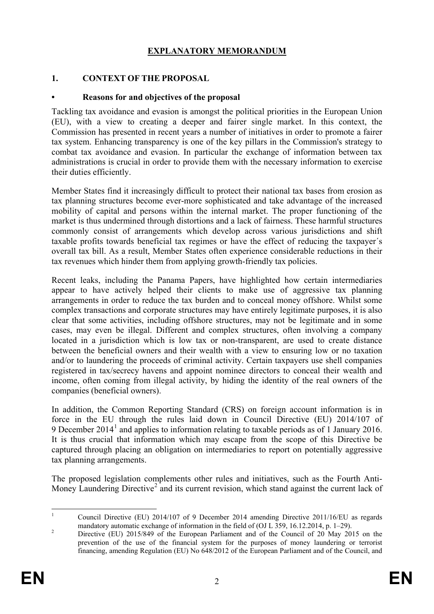# **EXPLANATORY MEMORANDUM**

#### **1. CONTEXT OF THE PROPOSAL**

#### **• Reasons for and objectives of the proposal**

Tackling tax avoidance and evasion is amongst the political priorities in the European Union (EU), with a view to creating a deeper and fairer single market. In this context, the Commission has presented in recent years a number of initiatives in order to promote a fairer tax system. Enhancing transparency is one of the key pillars in the Commission's strategy to combat tax avoidance and evasion. In particular the exchange of information between tax administrations is crucial in order to provide them with the necessary information to exercise their duties efficiently.

Member States find it increasingly difficult to protect their national tax bases from erosion as tax planning structures become ever-more sophisticated and take advantage of the increased mobility of capital and persons within the internal market. The proper functioning of the market is thus undermined through distortions and a lack of fairness. These harmful structures commonly consist of arrangements which develop across various jurisdictions and shift taxable profits towards beneficial tax regimes or have the effect of reducing the taxpayer´s overall tax bill. As a result, Member States often experience considerable reductions in their tax revenues which hinder them from applying growth-friendly tax policies.

Recent leaks, including the Panama Papers, have highlighted how certain intermediaries appear to have actively helped their clients to make use of aggressive tax planning arrangements in order to reduce the tax burden and to conceal money offshore. Whilst some complex transactions and corporate structures may have entirely legitimate purposes, it is also clear that some activities, including offshore structures, may not be legitimate and in some cases, may even be illegal. Different and complex structures, often involving a company located in a jurisdiction which is low tax or non-transparent, are used to create distance between the beneficial owners and their wealth with a view to ensuring low or no taxation and/or to laundering the proceeds of criminal activity. Certain taxpayers use shell companies registered in tax/secrecy havens and appoint nominee directors to conceal their wealth and income, often coming from illegal activity, by hiding the identity of the real owners of the companies (beneficial owners).

In addition, the Common Reporting Standard (CRS) on foreign account information is in force in the EU through the rules laid down in Council Directive (EU) 2014/107 of 9 December 20[1](#page-2-0)4<sup>1</sup> and applies to information relating to taxable periods as of 1 January 2016. It is thus crucial that information which may escape from the scope of this Directive be captured through placing an obligation on intermediaries to report on potentially aggressive tax planning arrangements.

The proposed legislation complements other rules and initiatives, such as the Fourth Anti-Money Laundering Directive<sup>[2](#page-2-1)</sup> and its current revision, which stand against the current lack of

<span id="page-2-0"></span><sup>&</sup>lt;sup>1</sup> Council Directive (EU) 2014/107 of 9 December 2014 amending Directive 2011/16/EU as regards

<span id="page-2-1"></span>mandatory automatic exchange of information in the field of (OJ L 359, 16.12.2014, p. 1–29).<br><sup>2</sup> Directive (EU) 2015/849 of the European Parliament and of the Council of 20 May 2015 on the prevention of the use of the financial system for the purposes of money laundering or terrorist financing, amending Regulation (EU) No 648/2012 of the European Parliament and of the Council, and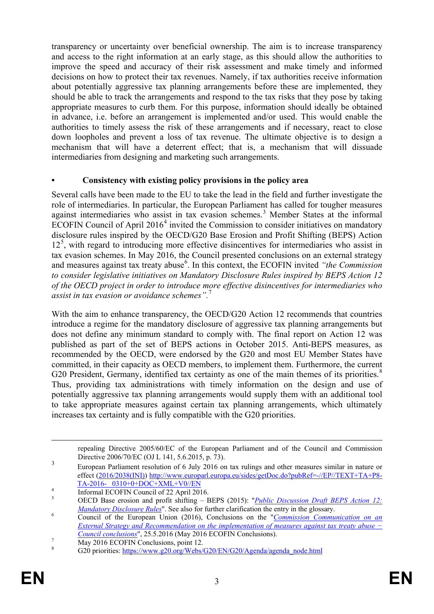transparency or uncertainty over beneficial ownership. The aim is to increase transparency and access to the right information at an early stage, as this should allow the authorities to improve the speed and accuracy of their risk assessment and make timely and informed decisions on how to protect their tax revenues. Namely, if tax authorities receive information about potentially aggressive tax planning arrangements before these are implemented, they should be able to track the arrangements and respond to the tax risks that they pose by taking appropriate measures to curb them. For this purpose, information should ideally be obtained in advance, i.e. before an arrangement is implemented and/or used. This would enable the authorities to timely assess the risk of these arrangements and if necessary, react to close down loopholes and prevent a loss of tax revenue. The ultimate objective is to design a mechanism that will have a deterrent effect; that is, a mechanism that will dissuade intermediaries from designing and marketing such arrangements.

### **• Consistency with existing policy provisions in the policy area**

Several calls have been made to the EU to take the lead in the field and further investigate the role of intermediaries. In particular, the European Parliament has called for tougher measures against intermediaries who assist in tax evasion schemes.<sup>[3](#page-3-0)</sup> Member States at the informal ECOFIN Council of April  $2016<sup>4</sup>$  $2016<sup>4</sup>$  $2016<sup>4</sup>$  invited the Commission to consider initiatives on mandatory disclosure rules inspired by the OECD/G20 Base Erosion and Profit Shifting (BEPS) Action 12<sup>[5](#page-3-2)</sup>, with regard to introducing more effective disincentives for intermediaries who assist in tax evasion schemes. In May 2016, the Council presented conclusions on an external strategy and measures against tax treaty abuse<sup>[6](#page-3-3)</sup>. In this context, the ECOFIN invited "the Commission *to consider legislative initiatives on Mandatory Disclosure Rules inspired by BEPS Action 12 of the OECD project in order to introduce more effective disincentives for intermediaries who assist in tax evasion or avoidance schemes".*[7](#page-3-4)

With the aim to enhance transparency, the OECD/G20 Action 12 recommends that countries introduce a regime for the mandatory disclosure of aggressive tax planning arrangements but does not define any minimum standard to comply with. The final report on Action 12 was published as part of the set of BEPS actions in October 2015. Anti-BEPS measures, as recommended by the OECD, were endorsed by the G20 and most EU Member States have committed, in their capacity as OECD members, to implement them. Furthermore, the current G20 President, Germany, identified tax certainty as one of the main themes of its priorities.<sup>[8](#page-3-5)</sup> Thus, providing tax administrations with timely information on the design and use of potentially aggressive tax planning arrangements would supply them with an additional tool to take appropriate measures against certain tax planning arrangements, which ultimately increases tax certainty and is fully compatible with the G20 priorities.

repealing Directive 2005/60/EC of the European Parliament and of the Council and Commission Directive 2006/70/EC (OJ L 141, 5.6.2015, p. 73).

<span id="page-3-0"></span><sup>3</sup> European Parliament resolution of 6 July 2016 on tax rulings and other measures similar in nature or effect [\(2016/2038\(INI\)\)](http://www.europarl.europa.eu/oeil/popups/ficheprocedure.do?lang=en&reference=2016/2038(INI)) [http://www.europarl.europa.eu/sides/getDoc.do?pubRef=-//EP//TEXT+TA+P8-](http://www.europarl.europa.eu/sides/getDoc.do?pubRef=-//EP//TEXT+TA+P8-TA-2016-%20%20%200310+0+DOC+XML+V0//EN)<br>TA-2016- 0310+0+DOC+XML+V0//EN

<span id="page-3-2"></span><span id="page-3-1"></span>The <sup>4</sup><br><sup>5</sup> Informal ECOFIN Council of 22 April 2016.<br>OECD Base erosion and profit shifting – BEPS (2015): "*Public Discussion Draft BEPS Action 12:*<br>*Mandatory Disclosure Rules*". See also for further clarification the en

<span id="page-3-3"></span><sup>&</sup>lt;sup>6</sup> Council of the European Union (2016), Conclusions on the "*Commission Communication on an External Strategy and [Recommendation on the implementation of measures against tax treaty abuse −](http://data.consilium.europa.eu/doc/document/ST-9452-2016-INIT/en/pdf)  [Council conclusions](http://data.consilium.europa.eu/doc/document/ST-9452-2016-INIT/en/pdf)*", 25.5.2016 (May 2016 ECOFIN Conclusions).<br>
<sup>7</sup> May 2016 ECOFIN Conclusions, point 12.<br>
<sup>8</sup> G20 priorities: [https://www.g20.org/Webs/G20/EN/G20/Agenda/agenda\\_node.html](https://www.g20.org/Webs/G20/EN/G20/Agenda/agenda_node.html)

<span id="page-3-5"></span><span id="page-3-4"></span>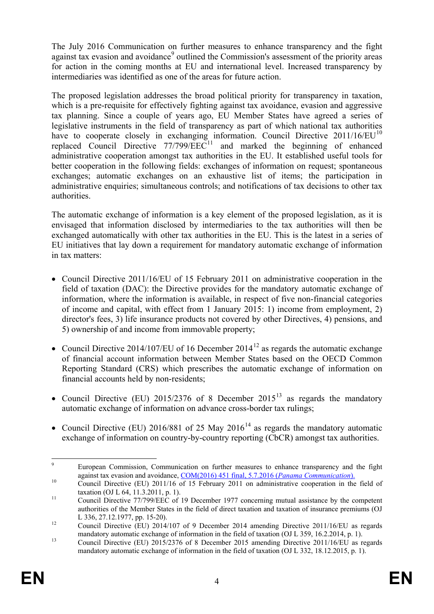The July 2016 Communication on further measures to enhance transparency and the fight against tax evasion and avoidance<sup>[9](#page-4-0)</sup> outlined the Commission's assessment of the priority areas for action in the coming months at EU and international level. Increased transparency by intermediaries was identified as one of the areas for future action.

The proposed legislation addresses the broad political priority for transparency in taxation, which is a pre-requisite for effectively fighting against tax avoidance, evasion and aggressive tax planning. Since a couple of years ago, EU Member States have agreed a series of legislative instruments in the field of transparency as part of which national tax authorities have to cooperate closely in exchanging information. Council Directive 2011/16/EU<sup>[10](#page-4-1)</sup> replaced Council Directive  $77/799/EEC^{11}$  $77/799/EEC^{11}$  $77/799/EEC^{11}$  and marked the beginning of enhanced administrative cooperation amongst tax authorities in the EU. It established useful tools for better cooperation in the following fields: exchanges of information on request; spontaneous exchanges; automatic exchanges on an exhaustive list of items; the participation in administrative enquiries; simultaneous controls; and notifications of tax decisions to other tax authorities.

The automatic exchange of information is a key element of the proposed legislation, as it is envisaged that information disclosed by intermediaries to the tax authorities will then be exchanged automatically with other tax authorities in the EU. This is the latest in a series of EU initiatives that lay down a requirement for mandatory automatic exchange of information in tax matters:

- Council Directive 2011/16/EU of 15 February 2011 on administrative cooperation in the field of taxation (DAC): the Directive provides for the mandatory automatic exchange of information, where the information is available, in respect of five non-financial categories of income and capital, with effect from 1 January 2015: 1) income from employment, 2) director's fees, 3) life insurance products not covered by other Directives, 4) pensions, and 5) ownership of and income from immovable property;
- Council Directive 2014/107/EU of 16 December 2014<sup>[12](#page-4-3)</sup> as regards the automatic exchange of financial account information between Member States based on the OECD Common Reporting Standard (CRS) which prescribes the automatic exchange of information on financial accounts held by non-residents;
- Council Directive (EU) 2015/2376 of 8 December 2015<sup>[13](#page-4-4)</sup> as regards the mandatory automatic exchange of information on advance cross-border tax rulings;
- Council Directive (EU) 2016/881 of 25 May 2016<sup>[14](#page-4-5)</sup> as regards the mandatory automatic exchange of information on country-by-country reporting (CbCR) amongst tax authorities.

<span id="page-4-0"></span><sup>&</sup>lt;sup>9</sup> European Commission, Communication on further measures to enhance transparency and the fight against tax evasion and avoidance,  $COM(2016)$  451 final, 5.7.2016 (*Panama Communication*).

<span id="page-4-1"></span>against the Directive (EU) 2011/16 of 15 February 2011 on administrative cooperation in the field of taxation (OJ L 64, 11.3.2011, p. 1).

<span id="page-4-2"></span> $t<sub>11</sub>$  Council Directive 77/799/EEC of 19 December 1977 concerning mutual assistance by the competent authorities of the Member States in the field of direct taxation and taxation of insurance premiums (OJ

<span id="page-4-5"></span><span id="page-4-3"></span>L 336, 27.12.1977, pp. 15-20).<br>
Council Directive (EU) 2014/107 of 9 December 2014 amending Directive 2011/16/EU as regards<br>
mandatory automatic exchange of information in the field of taxation (OJ L 359, 16.2.2014, p. 1).

<span id="page-4-4"></span>mandatory automatic exchange of information in the field of mandator (OC  $\approx$  1004), exchange Council Directive (EU) 2015/2376 of 8 December 2015 amending Directive 2011/16/EU as regards mandatory automatic exchange of information in the field of taxation (OJ L 332, 18.12.2015, p. 1).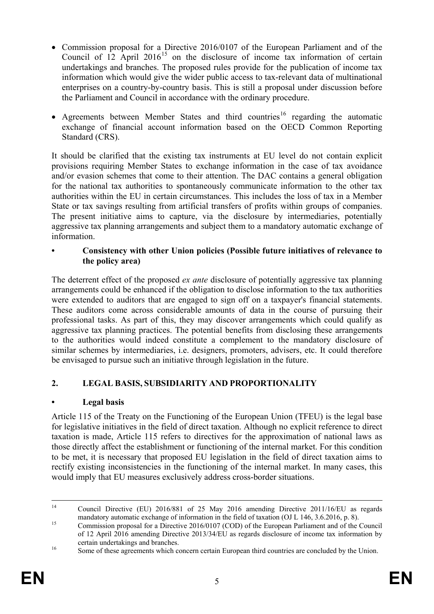- Commission proposal for a Directive 2016/0107 of the European Parliament and of the Council of  $12$  April 2016<sup>[15](#page-5-0)</sup> on the disclosure of income tax information of certain undertakings and branches. The proposed rules provide for the publication of income tax information which would give the wider public access to tax-relevant data of multinational enterprises on a country-by-country basis. This is still a proposal under discussion before the Parliament and Council in accordance with the ordinary procedure.
- Agreements between Member States and third countries<sup>[16](#page-5-1)</sup> regarding the automatic exchange of financial account information based on the OECD Common Reporting Standard (CRS).

It should be clarified that the existing tax instruments at EU level do not contain explicit provisions requiring Member States to exchange information in the case of tax avoidance and/or evasion schemes that come to their attention. The DAC contains a general obligation for the national tax authorities to spontaneously communicate information to the other tax authorities within the EU in certain circumstances. This includes the loss of tax in a Member State or tax savings resulting from artificial transfers of profits within groups of companies. The present initiative aims to capture, via the disclosure by intermediaries, potentially aggressive tax planning arrangements and subject them to a mandatory automatic exchange of information.

**• Consistency with other Union policies (Possible future initiatives of relevance to the policy area)**

The deterrent effect of the proposed *ex ante* disclosure of potentially aggressive tax planning arrangements could be enhanced if the obligation to disclose information to the tax authorities were extended to auditors that are engaged to sign off on a taxpayer's financial statements. These auditors come across considerable amounts of data in the course of pursuing their professional tasks. As part of this, they may discover arrangements which could qualify as aggressive tax planning practices. The potential benefits from disclosing these arrangements to the authorities would indeed constitute a complement to the mandatory disclosure of similar schemes by intermediaries, i.e. designers, promoters, advisers, etc. It could therefore be envisaged to pursue such an initiative through legislation in the future.

# **2. LEGAL BASIS, SUBSIDIARITY AND PROPORTIONALITY**

### **• Legal basis**

Article 115 of the Treaty on the Functioning of the European Union (TFEU) is the legal base for legislative initiatives in the field of direct taxation. Although no explicit reference to direct taxation is made, Article 115 refers to directives for the approximation of national laws as those directly affect the establishment or functioning of the internal market. For this condition to be met, it is necessary that proposed EU legislation in the field of direct taxation aims to rectify existing inconsistencies in the functioning of the internal market. In many cases, this would imply that EU measures exclusively address cross-border situations.

<sup>&</sup>lt;sup>14</sup> Council Directive (EU) 2016/881 of 25 May 2016 amending Directive 2011/16/EU as regards mandatory automatic exchange of information in the field of taxation (OJ L 146, 3.6.2016, p. 8).<br>Commission proposal for a Directive 2016/0107 (COD) of the European Parliament and of the Council

<span id="page-5-0"></span>of 12 April 2016 amending Directive 2013/34/EU as regards disclosure of income tax information by certain undertakings and branches.<br><sup>16</sup> Some of these agreements which concern certain European third countries are concluded by the Union.

<span id="page-5-1"></span>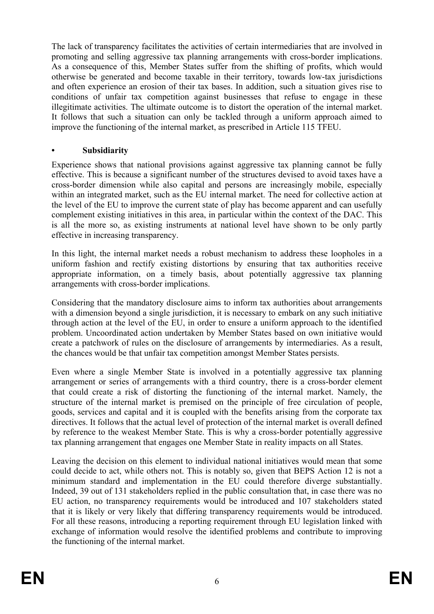The lack of transparency facilitates the activities of certain intermediaries that are involved in promoting and selling aggressive tax planning arrangements with cross-border implications. As a consequence of this, Member States suffer from the shifting of profits, which would otherwise be generated and become taxable in their territory, towards low-tax jurisdictions and often experience an erosion of their tax bases. In addition, such a situation gives rise to conditions of unfair tax competition against businesses that refuse to engage in these illegitimate activities. The ultimate outcome is to distort the operation of the internal market. It follows that such a situation can only be tackled through a uniform approach aimed to improve the functioning of the internal market, as prescribed in Article 115 TFEU.

#### **• Subsidiarity**

Experience shows that national provisions against aggressive tax planning cannot be fully effective. This is because a significant number of the structures devised to avoid taxes have a cross-border dimension while also capital and persons are increasingly mobile, especially within an integrated market, such as the EU internal market. The need for collective action at the level of the EU to improve the current state of play has become apparent and can usefully complement existing initiatives in this area, in particular within the context of the DAC. This is all the more so, as existing instruments at national level have shown to be only partly effective in increasing transparency.

In this light, the internal market needs a robust mechanism to address these loopholes in a uniform fashion and rectify existing distortions by ensuring that tax authorities receive appropriate information, on a timely basis, about potentially aggressive tax planning arrangements with cross-border implications.

Considering that the mandatory disclosure aims to inform tax authorities about arrangements with a dimension beyond a single jurisdiction, it is necessary to embark on any such initiative through action at the level of the EU, in order to ensure a uniform approach to the identified problem. Uncoordinated action undertaken by Member States based on own initiative would create a patchwork of rules on the disclosure of arrangements by intermediaries. As a result, the chances would be that unfair tax competition amongst Member States persists.

Even where a single Member State is involved in a potentially aggressive tax planning arrangement or series of arrangements with a third country, there is a cross-border element that could create a risk of distorting the functioning of the internal market. Namely, the structure of the internal market is premised on the principle of free circulation of people, goods, services and capital and it is coupled with the benefits arising from the corporate tax directives. It follows that the actual level of protection of the internal market is overall defined by reference to the weakest Member State. This is why a cross-border potentially aggressive tax planning arrangement that engages one Member State in reality impacts on all States.

Leaving the decision on this element to individual national initiatives would mean that some could decide to act, while others not. This is notably so, given that BEPS Action 12 is not a minimum standard and implementation in the EU could therefore diverge substantially. Indeed, 39 out of 131 stakeholders replied in the public consultation that, in case there was no EU action, no transparency requirements would be introduced and 107 stakeholders stated that it is likely or very likely that differing transparency requirements would be introduced. For all these reasons, introducing a reporting requirement through EU legislation linked with exchange of information would resolve the identified problems and contribute to improving the functioning of the internal market.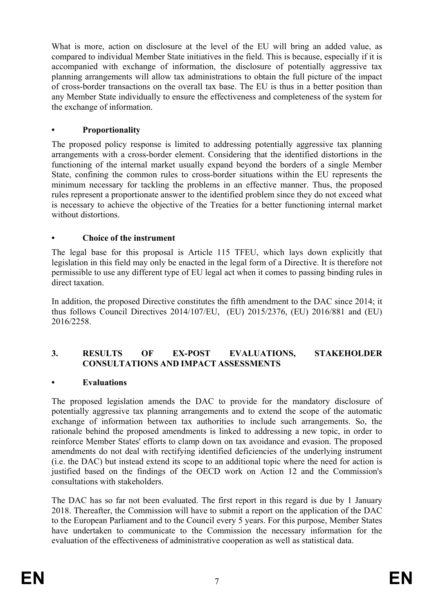What is more, action on disclosure at the level of the EU will bring an added value, as compared to individual Member State initiatives in the field. This is because, especially if it is accompanied with exchange of information, the disclosure of potentially aggressive tax planning arrangements will allow tax administrations to obtain the full picture of the impact of cross-border transactions on the overall tax base. The EU is thus in a better position than any Member State individually to ensure the effectiveness and completeness of the system for the exchange of information.

#### **• Proportionality**

The proposed policy response is limited to addressing potentially aggressive tax planning arrangements with a cross-border element. Considering that the identified distortions in the functioning of the internal market usually expand beyond the borders of a single Member State, confining the common rules to cross-border situations within the EU represents the minimum necessary for tackling the problems in an effective manner. Thus, the proposed rules represent a proportionate answer to the identified problem since they do not exceed what is necessary to achieve the objective of the Treaties for a better functioning internal market without distortions.

### **• Choice of the instrument**

The legal base for this proposal is Article 115 TFEU, which lays down explicitly that legislation in this field may only be enacted in the legal form of a Directive. It is therefore not permissible to use any different type of EU legal act when it comes to passing binding rules in direct taxation.

In addition, the proposed Directive constitutes the fifth amendment to the DAC since 2014; it thus follows Council Directives 2014/107/EU, (EU) 2015/2376, (EU) 2016/881 and (EU) 2016/2258.

### **3. RESULTS OF EX-POST EVALUATIONS, STAKEHOLDER CONSULTATIONS AND IMPACT ASSESSMENTS**

#### **• Evaluations**

The proposed legislation amends the DAC to provide for the mandatory disclosure of potentially aggressive tax planning arrangements and to extend the scope of the automatic exchange of information between tax authorities to include such arrangements. So, the rationale behind the proposed amendments is linked to addressing a new topic, in order to reinforce Member States' efforts to clamp down on tax avoidance and evasion. The proposed amendments do not deal with rectifying identified deficiencies of the underlying instrument (i.e. the DAC) but instead extend its scope to an additional topic where the need for action is justified based on the findings of the OECD work on Action 12 and the Commission's consultations with stakeholders.

The DAC has so far not been evaluated. The first report in this regard is due by 1 January 2018. Thereafter, the Commission will have to submit a report on the application of the DAC to the European Parliament and to the Council every 5 years. For this purpose, Member States have undertaken to communicate to the Commission the necessary information for the evaluation of the effectiveness of administrative cooperation as well as statistical data.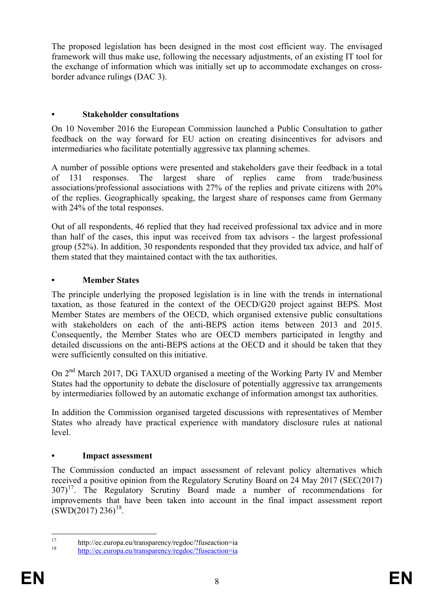The proposed legislation has been designed in the most cost efficient way. The envisaged framework will thus make use, following the necessary adjustments, of an existing IT tool for the exchange of information which was initially set up to accommodate exchanges on crossborder advance rulings (DAC 3).

## **• Stakeholder consultations**

On 10 November 2016 the European Commission launched a Public Consultation to gather feedback on the way forward for EU action on creating disincentives for advisors and intermediaries who facilitate potentially aggressive tax planning schemes.

A number of possible options were presented and stakeholders gave their feedback in a total of 131 responses. The largest share of replies came from trade/business associations/professional associations with 27% of the replies and private citizens with 20% of the replies. Geographically speaking, the largest share of responses came from Germany with 24% of the total responses.

Out of all respondents, 46 replied that they had received professional tax advice and in more than half of the cases, this input was received from tax advisors - the largest professional group (52%). In addition, 30 respondents responded that they provided tax advice, and half of them stated that they maintained contact with the tax authorities.

### **• Member States**

The principle underlying the proposed legislation is in line with the trends in international taxation, as those featured in the context of the OECD/G20 project against BEPS. Most Member States are members of the OECD, which organised extensive public consultations with stakeholders on each of the anti-BEPS action items between 2013 and 2015. Consequently, the Member States who are OECD members participated in lengthy and detailed discussions on the anti-BEPS actions at the OECD and it should be taken that they were sufficiently consulted on this initiative.

On 2nd March 2017, DG TAXUD organised a meeting of the Working Party IV and Member States had the opportunity to debate the disclosure of potentially aggressive tax arrangements by intermediaries followed by an automatic exchange of information amongst tax authorities.

In addition the Commission organised targeted discussions with representatives of Member States who already have practical experience with mandatory disclosure rules at national level.

### **• Impact assessment**

The Commission conducted an impact assessment of relevant policy alternatives which received a positive opinion from the Regulatory Scrutiny Board on 24 May 2017 (SEC(2017)  $307$ <sup>[17](#page-8-0)</sup>. The Regulatory Scrutiny Board made a number of recommendations for improvements that have been taken into account in the final impact assessment report  $(SWD(2017) 236)^{18}$  $(SWD(2017) 236)^{18}$  $(SWD(2017) 236)^{18}$ .

<span id="page-8-0"></span><sup>17</sup> <http://ec.europa.eu/transparency/regdoc/?fuseaction=ia><br>18 http://ec.europa.eu/transparency/regdoc/?fuseaction=ia

<span id="page-8-1"></span>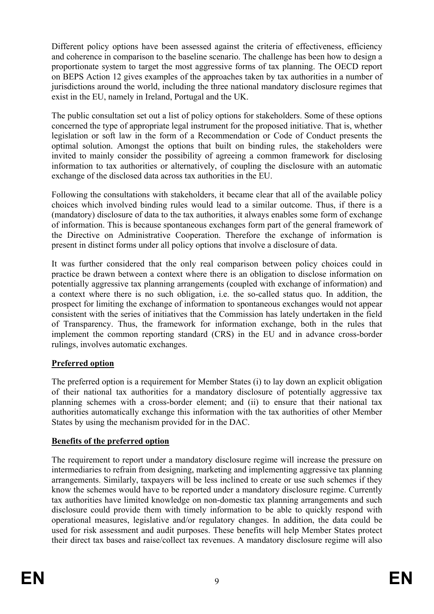Different policy options have been assessed against the criteria of effectiveness, efficiency and coherence in comparison to the baseline scenario. The challenge has been how to design a proportionate system to target the most aggressive forms of tax planning. The OECD report on BEPS Action 12 gives examples of the approaches taken by tax authorities in a number of jurisdictions around the world, including the three national mandatory disclosure regimes that exist in the EU, namely in Ireland, Portugal and the UK.

The public consultation set out a list of policy options for stakeholders. Some of these options concerned the type of appropriate legal instrument for the proposed initiative. That is, whether legislation or soft law in the form of a Recommendation or Code of Conduct presents the optimal solution. Amongst the options that built on binding rules, the stakeholders were invited to mainly consider the possibility of agreeing a common framework for disclosing information to tax authorities or alternatively, of coupling the disclosure with an automatic exchange of the disclosed data across tax authorities in the EU.

Following the consultations with stakeholders, it became clear that all of the available policy choices which involved binding rules would lead to a similar outcome. Thus, if there is a (mandatory) disclosure of data to the tax authorities, it always enables some form of exchange of information. This is because spontaneous exchanges form part of the general framework of the Directive on Administrative Cooperation. Therefore the exchange of information is present in distinct forms under all policy options that involve a disclosure of data.

It was further considered that the only real comparison between policy choices could in practice be drawn between a context where there is an obligation to disclose information on potentially aggressive tax planning arrangements (coupled with exchange of information) and a context where there is no such obligation, i.e. the so-called status quo. In addition, the prospect for limiting the exchange of information to spontaneous exchanges would not appear consistent with the series of initiatives that the Commission has lately undertaken in the field of Transparency. Thus, the framework for information exchange, both in the rules that implement the common reporting standard (CRS) in the EU and in advance cross-border rulings, involves automatic exchanges.

# **Preferred option**

The preferred option is a requirement for Member States (i) to lay down an explicit obligation of their national tax authorities for a mandatory disclosure of potentially aggressive tax planning schemes with a cross-border element; and (ii) to ensure that their national tax authorities automatically exchange this information with the tax authorities of other Member States by using the mechanism provided for in the DAC.

### **Benefits of the preferred option**

The requirement to report under a mandatory disclosure regime will increase the pressure on intermediaries to refrain from designing, marketing and implementing aggressive tax planning arrangements. Similarly, taxpayers will be less inclined to create or use such schemes if they know the schemes would have to be reported under a mandatory disclosure regime. Currently tax authorities have limited knowledge on non-domestic tax planning arrangements and such disclosure could provide them with timely information to be able to quickly respond with operational measures, legislative and/or regulatory changes. In addition, the data could be used for risk assessment and audit purposes. These benefits will help Member States protect their direct tax bases and raise/collect tax revenues. A mandatory disclosure regime will also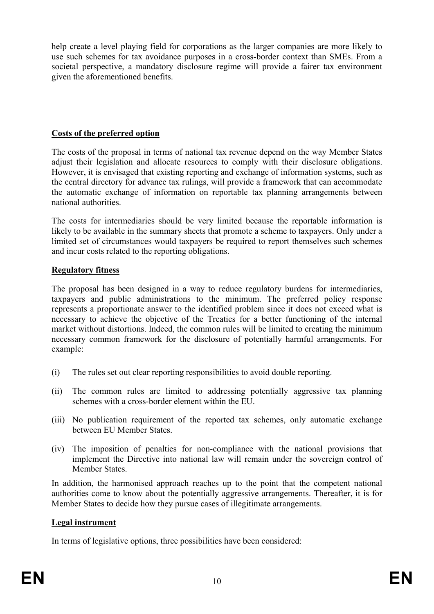help create a level playing field for corporations as the larger companies are more likely to use such schemes for tax avoidance purposes in a cross-border context than SMEs. From a societal perspective, a mandatory disclosure regime will provide a fairer tax environment given the aforementioned benefits.

## **Costs of the preferred option**

The costs of the proposal in terms of national tax revenue depend on the way Member States adjust their legislation and allocate resources to comply with their disclosure obligations. However, it is envisaged that existing reporting and exchange of information systems, such as the central directory for advance tax rulings, will provide a framework that can accommodate the automatic exchange of information on reportable tax planning arrangements between national authorities.

The costs for intermediaries should be very limited because the reportable information is likely to be available in the summary sheets that promote a scheme to taxpayers. Only under a limited set of circumstances would taxpayers be required to report themselves such schemes and incur costs related to the reporting obligations.

# **Regulatory fitness**

The proposal has been designed in a way to reduce regulatory burdens for intermediaries, taxpayers and public administrations to the minimum. The preferred policy response represents a proportionate answer to the identified problem since it does not exceed what is necessary to achieve the objective of the Treaties for a better functioning of the internal market without distortions. Indeed, the common rules will be limited to creating the minimum necessary common framework for the disclosure of potentially harmful arrangements. For example:

- (i) The rules set out clear reporting responsibilities to avoid double reporting.
- (ii) The common rules are limited to addressing potentially aggressive tax planning schemes with a cross-border element within the EU.
- (iii) No publication requirement of the reported tax schemes, only automatic exchange between EU Member States.
- (iv) The imposition of penalties for non-compliance with the national provisions that implement the Directive into national law will remain under the sovereign control of Member States.

In addition, the harmonised approach reaches up to the point that the competent national authorities come to know about the potentially aggressive arrangements. Thereafter, it is for Member States to decide how they pursue cases of illegitimate arrangements.

### **Legal instrument**

In terms of legislative options, three possibilities have been considered: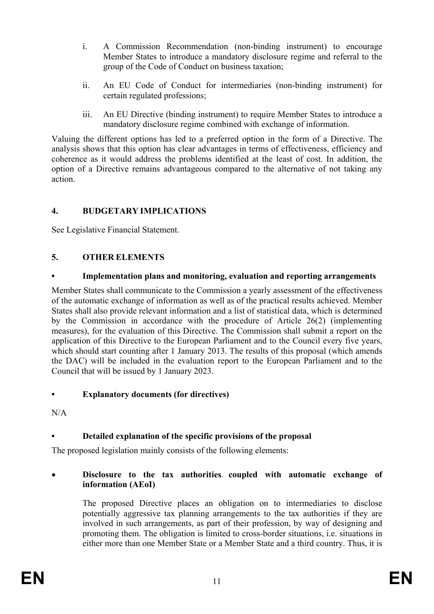- i. A Commission Recommendation (non-binding instrument) to encourage Member States to introduce a mandatory disclosure regime and referral to the group of the Code of Conduct on business taxation;
- ii. An EU Code of Conduct for intermediaries (non-binding instrument) for certain regulated professions;
- iii. An EU Directive (binding instrument) to require Member States to introduce a mandatory disclosure regime combined with exchange of information.

Valuing the different options has led to a preferred option in the form of a Directive. The analysis shows that this option has clear advantages in terms of effectiveness, efficiency and coherence as it would address the problems identified at the least of cost. In addition, the option of a Directive remains advantageous compared to the alternative of not taking any action.

# **4. BUDGETARY IMPLICATIONS**

See Legislative Financial Statement.

# **5. OTHER ELEMENTS**

# **• Implementation plans and monitoring, evaluation and reporting arrangements**

Member States shall communicate to the Commission a yearly assessment of the effectiveness of the automatic exchange of information as well as of the practical results achieved. Member States shall also provide relevant information and a list of statistical data, which is determined by the Commission in accordance with the procedure of Article 26(2) (implementing measures), for the evaluation of this Directive. The Commission shall submit a report on the application of this Directive to the European Parliament and to the Council every five years, which should start counting after 1 January 2013. The results of this proposal (which amends the DAC) will be included in the evaluation report to the European Parliament and to the Council that will be issued by 1 January 2023.

# **• Explanatory documents (for directives)**

N/A

# **• Detailed explanation of the specific provisions of the proposal**

The proposed legislation mainly consists of the following elements:

# • **Disclosure to the tax authorities coupled with automatic exchange of information (AEoI)**

The proposed Directive places an obligation on to intermediaries to disclose potentially aggressive tax planning arrangements to the tax authorities if they are involved in such arrangements, as part of their profession, by way of designing and promoting them. The obligation is limited to cross-border situations, i.e. situations in either more than one Member State or a Member State and a third country. Thus, it is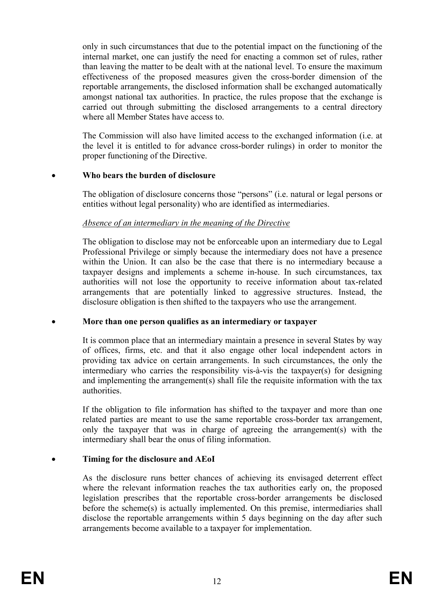only in such circumstances that due to the potential impact on the functioning of the internal market, one can justify the need for enacting a common set of rules, rather than leaving the matter to be dealt with at the national level. To ensure the maximum effectiveness of the proposed measures given the cross-border dimension of the reportable arrangements, the disclosed information shall be exchanged automatically amongst national tax authorities. In practice, the rules propose that the exchange is carried out through submitting the disclosed arrangements to a central directory where all Member States have access to.

The Commission will also have limited access to the exchanged information (i.e. at the level it is entitled to for advance cross-border rulings) in order to monitor the proper functioning of the Directive.

#### • **Who bears the burden of disclosure**

The obligation of disclosure concerns those "persons" (i.e. natural or legal persons or entities without legal personality) who are identified as intermediaries.

#### *Absence of an intermediary in the meaning of the Directive*

The obligation to disclose may not be enforceable upon an intermediary due to Legal Professional Privilege or simply because the intermediary does not have a presence within the Union. It can also be the case that there is no intermediary because a taxpayer designs and implements a scheme in-house. In such circumstances, tax authorities will not lose the opportunity to receive information about tax-related arrangements that are potentially linked to aggressive structures. Instead, the disclosure obligation is then shifted to the taxpayers who use the arrangement.

#### • **More than one person qualifies as an intermediary or taxpayer**

It is common place that an intermediary maintain a presence in several States by way of offices, firms, etc. and that it also engage other local independent actors in providing tax advice on certain arrangements. In such circumstances, the only the intermediary who carries the responsibility vis-à-vis the taxpayer(s) for designing and implementing the arrangement(s) shall file the requisite information with the tax authorities.

If the obligation to file information has shifted to the taxpayer and more than one related parties are meant to use the same reportable cross-border tax arrangement, only the taxpayer that was in charge of agreeing the arrangement(s) with the intermediary shall bear the onus of filing information.

### • **Timing for the disclosure and AEoI**

As the disclosure runs better chances of achieving its envisaged deterrent effect where the relevant information reaches the tax authorities early on, the proposed legislation prescribes that the reportable cross-border arrangements be disclosed before the scheme(s) is actually implemented. On this premise, intermediaries shall disclose the reportable arrangements within 5 days beginning on the day after such arrangements become available to a taxpayer for implementation.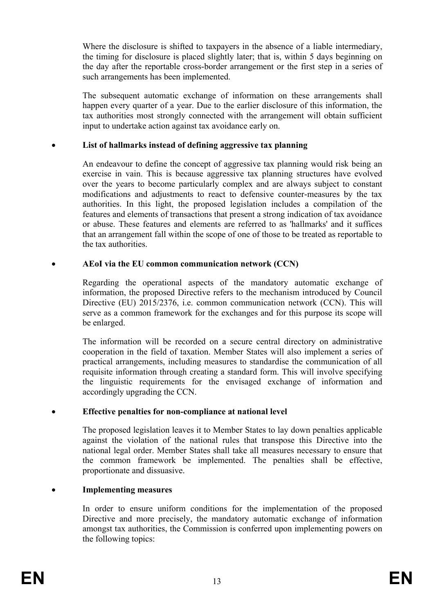Where the disclosure is shifted to taxpayers in the absence of a liable intermediary, the timing for disclosure is placed slightly later; that is, within 5 days beginning on the day after the reportable cross-border arrangement or the first step in a series of such arrangements has been implemented.

The subsequent automatic exchange of information on these arrangements shall happen every quarter of a year. Due to the earlier disclosure of this information, the tax authorities most strongly connected with the arrangement will obtain sufficient input to undertake action against tax avoidance early on.

#### • **List of hallmarks instead of defining aggressive tax planning**

An endeavour to define the concept of aggressive tax planning would risk being an exercise in vain. This is because aggressive tax planning structures have evolved over the years to become particularly complex and are always subject to constant modifications and adjustments to react to defensive counter-measures by the tax authorities. In this light, the proposed legislation includes a compilation of the features and elements of transactions that present a strong indication of tax avoidance or abuse. These features and elements are referred to as 'hallmarks' and it suffices that an arrangement fall within the scope of one of those to be treated as reportable to the tax authorities.

#### • **AEoI via the EU common communication network (CCN)**

Regarding the operational aspects of the mandatory automatic exchange of information, the proposed Directive refers to the mechanism introduced by Council Directive (EU) 2015/2376, i.e. common communication network (CCN). This will serve as a common framework for the exchanges and for this purpose its scope will be enlarged.

The information will be recorded on a secure central directory on administrative cooperation in the field of taxation. Member States will also implement a series of practical arrangements, including measures to standardise the communication of all requisite information through creating a standard form. This will involve specifying the linguistic requirements for the envisaged exchange of information and accordingly upgrading the CCN.

#### • **Effective penalties for non-compliance at national level**

The proposed legislation leaves it to Member States to lay down penalties applicable against the violation of the national rules that transpose this Directive into the national legal order. Member States shall take all measures necessary to ensure that the common framework be implemented. The penalties shall be effective, proportionate and dissuasive.

### • **Implementing measures**

In order to ensure uniform conditions for the implementation of the proposed Directive and more precisely, the mandatory automatic exchange of information amongst tax authorities, the Commission is conferred upon implementing powers on the following topics: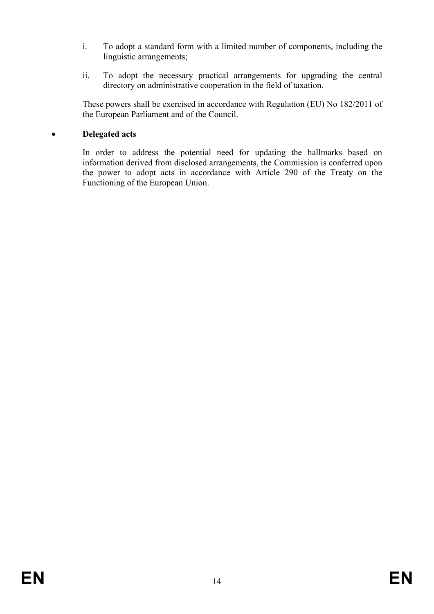- i. To adopt a standard form with a limited number of components, including the linguistic arrangements;
- ii. To adopt the necessary practical arrangements for upgrading the central directory on administrative cooperation in the field of taxation.

These powers shall be exercised in accordance with Regulation (EU) No 182/2011 of the European Parliament and of the Council.

### • **Delegated acts**

In order to address the potential need for updating the hallmarks based on information derived from disclosed arrangements, the Commission is conferred upon the power to adopt acts in accordance with Article 290 of the Treaty on the Functioning of the European Union.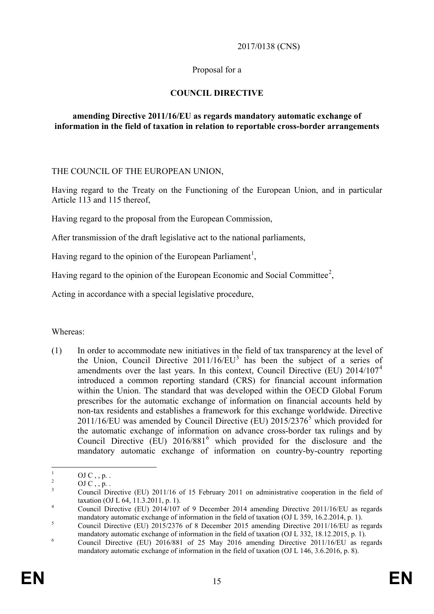#### 2017/0138 (CNS)

### Proposal for a

## **COUNCIL DIRECTIVE**

#### **amending Directive 2011/16/EU as regards mandatory automatic exchange of information in the field of taxation in relation to reportable cross-border arrangements**

THE COUNCIL OF THE EUROPEAN UNION,

Having regard to the Treaty on the Functioning of the European Union, and in particular Article 113 and 115 thereof,

Having regard to the proposal from the European Commission,

After transmission of the draft legislative act to the national parliaments,

Having regard to the opinion of the European Parliament<sup>[1](#page-15-0)</sup>,

Having regard to the opinion of the European Economic and Social Committee<sup>[2](#page-15-1)</sup>,

Acting in accordance with a special legislative procedure,

Whereas:

(1) In order to accommodate new initiatives in the field of tax transparency at the level of the Union, Council Directive  $2011/16/EU^3$  $2011/16/EU^3$  has been the subject of a series of amendments over the last years. In this context, Council Directive (EU)  $2014/107<sup>4</sup>$  $2014/107<sup>4</sup>$  $2014/107<sup>4</sup>$ introduced a common reporting standard (CRS) for financial account information within the Union. The standard that was developed within the OECD Global Forum prescribes for the automatic exchange of information on financial accounts held by non-tax residents and establishes a framework for this exchange worldwide. Directive 2011/16/EU was amended by Council Directive (EU)  $2015/2376<sup>5</sup>$  $2015/2376<sup>5</sup>$  $2015/2376<sup>5</sup>$  which provided for the automatic exchange of information on advance cross-border tax rulings and by Council Directive  $(EU)$  201[6](#page-15-5)/881<sup>6</sup> which provided for the disclosure and the mandatory automatic exchange of information on country-by-country reporting

<span id="page-15-2"></span>

<span id="page-15-1"></span><span id="page-15-0"></span><sup>&</sup>lt;sup>1</sup> OJ C , , p. .<br><sup>2</sup> OJ C , , p. .<br>Council Directive (EU) 2011/16 of 15 February 2011 on administrative cooperation in the field of taxation (OJ L 64, 11.3.2011, p. 1).

<span id="page-15-3"></span>taxation (OJ E 64, 11.3.2011, p. 1).<br>
Council Directive (EU) 2014/107 of 9 December 2014 amending Directive 2011/16/EU as regards mandatory automatic exchange of information in the field of taxation (OJ L 359, 16.2.2014, p. 1).<br>  $\frac{5}{100}$  Council Directive (EU) 2015/2376 of 8 December 2015 amending Directive 2011/16/EU as regards

<span id="page-15-4"></span>mandatory automatic exchange of information in the field of taxation (OJ L 332, 18.12.2015, p. 1).<br><sup>6</sup> Council Directive (EU) 2016/881 of 25 May 2016 amending Directive 2011/16/EU as regards

<span id="page-15-5"></span>mandatory automatic exchange of information in the field of taxation (OJ L 146, 3.6.2016, p. 8).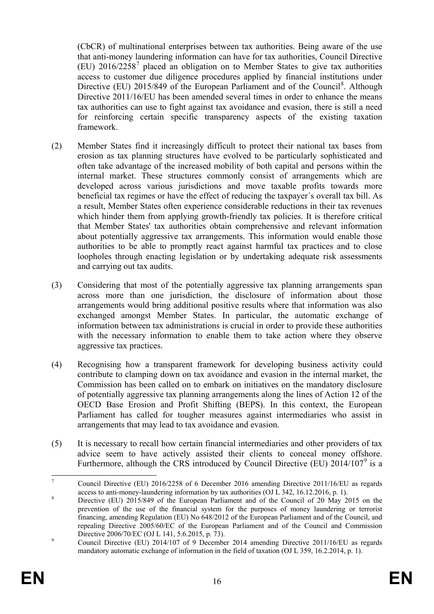(CbCR) of multinational enterprises between tax authorities. Being aware of the use that anti-money laundering information can have for tax authorities, Council Directive (EU)  $2016/2258<sup>7</sup>$  $2016/2258<sup>7</sup>$  $2016/2258<sup>7</sup>$  placed an obligation on to Member States to give tax authorities access to customer due diligence procedures applied by financial institutions under Directive (EU) 2015/[8](#page-16-1)49 of the European Parliament and of the Council<sup>8</sup>. Although Directive 2011/16/EU has been amended several times in order to enhance the means tax authorities can use to fight against tax avoidance and evasion, there is still a need for reinforcing certain specific transparency aspects of the existing taxation framework.

- (2) Member States find it increasingly difficult to protect their national tax bases from erosion as tax planning structures have evolved to be particularly sophisticated and often take advantage of the increased mobility of both capital and persons within the internal market. These structures commonly consist of arrangements which are developed across various jurisdictions and move taxable profits towards more beneficial tax regimes or have the effect of reducing the taxpayer´s overall tax bill. As a result, Member States often experience considerable reductions in their tax revenues which hinder them from applying growth-friendly tax policies. It is therefore critical that Member States' tax authorities obtain comprehensive and relevant information about potentially aggressive tax arrangements. This information would enable those authorities to be able to promptly react against harmful tax practices and to close loopholes through enacting legislation or by undertaking adequate risk assessments and carrying out tax audits.
- (3) Considering that most of the potentially aggressive tax planning arrangements span across more than one jurisdiction, the disclosure of information about those arrangements would bring additional positive results where that information was also exchanged amongst Member States. In particular, the automatic exchange of information between tax administrations is crucial in order to provide these authorities with the necessary information to enable them to take action where they observe aggressive tax practices.
- (4) Recognising how a transparent framework for developing business activity could contribute to clamping down on tax avoidance and evasion in the internal market, the Commission has been called on to embark on initiatives on the mandatory disclosure of potentially aggressive tax planning arrangements along the lines of Action 12 of the OECD Base Erosion and Profit Shifting (BEPS). In this context, the European Parliament has called for tougher measures against intermediaries who assist in arrangements that may lead to tax avoidance and evasion.
- (5) It is necessary to recall how certain financial intermediaries and other providers of tax advice seem to have actively assisted their clients to conceal money offshore. Furthermore, although the CRS introduced by Council Directive (EU)  $2014/107^9$  $2014/107^9$  is a

<span id="page-16-0"></span><sup>&</sup>lt;sup>7</sup> Council Directive (EU) 2016/2258 of 6 December 2016 amending Directive 2011/16/EU as regards access to anti-money-laundering information by tax authorities (OJ L 342, 16.12.2016, p. 1).

<span id="page-16-1"></span>access to anti-money-laundering information by tax authorities (OC 2342, 16.12.2016, p. 1). 8 Directive (EU) 2015/849 of the European Parliament and of the Council of 20 May 2015 on the prevention of the use of the financial system for the purposes of money laundering or terrorist financing, amending Regulation (EU) No 648/2012 of the European Parliament and of the Council, and repealing Directive 2005/60/EC of the European Parliament and of the Council and Commission Directive 2006/70/EC (OJ L 141, 5.6.2015, p. 73).

<span id="page-16-2"></span><sup>&</sup>lt;sup>9</sup> Council Directive (EU) 2014/107 of 9 December 2014 amending Directive 2011/16/EU as regards mandatory automatic exchange of information in the field of taxation (OJ L 359, 16.2.2014, p. 1).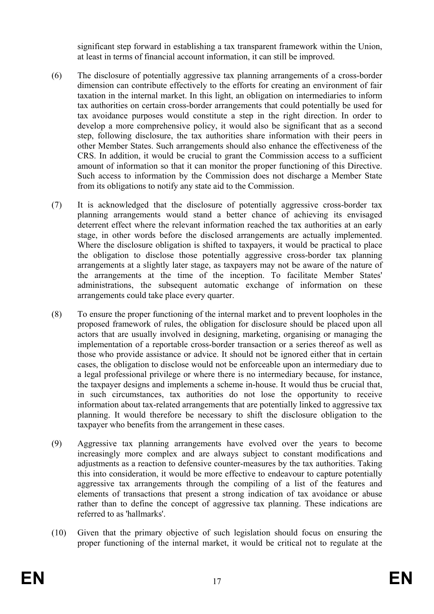significant step forward in establishing a tax transparent framework within the Union, at least in terms of financial account information, it can still be improved.

- (6) The disclosure of potentially aggressive tax planning arrangements of a cross-border dimension can contribute effectively to the efforts for creating an environment of fair taxation in the internal market. In this light, an obligation on intermediaries to inform tax authorities on certain cross-border arrangements that could potentially be used for tax avoidance purposes would constitute a step in the right direction. In order to develop a more comprehensive policy, it would also be significant that as a second step, following disclosure, the tax authorities share information with their peers in other Member States. Such arrangements should also enhance the effectiveness of the CRS. In addition, it would be crucial to grant the Commission access to a sufficient amount of information so that it can monitor the proper functioning of this Directive. Such access to information by the Commission does not discharge a Member State from its obligations to notify any state aid to the Commission.
- (7) It is acknowledged that the disclosure of potentially aggressive cross-border tax planning arrangements would stand a better chance of achieving its envisaged deterrent effect where the relevant information reached the tax authorities at an early stage, in other words before the disclosed arrangements are actually implemented. Where the disclosure obligation is shifted to taxpayers, it would be practical to place the obligation to disclose those potentially aggressive cross-border tax planning arrangements at a slightly later stage, as taxpayers may not be aware of the nature of the arrangements at the time of the inception. To facilitate Member States' administrations, the subsequent automatic exchange of information on these arrangements could take place every quarter.
- (8) To ensure the proper functioning of the internal market and to prevent loopholes in the proposed framework of rules, the obligation for disclosure should be placed upon all actors that are usually involved in designing, marketing, organising or managing the implementation of a reportable cross-border transaction or a series thereof as well as those who provide assistance or advice. It should not be ignored either that in certain cases, the obligation to disclose would not be enforceable upon an intermediary due to a legal professional privilege or where there is no intermediary because, for instance, the taxpayer designs and implements a scheme in-house. It would thus be crucial that, in such circumstances, tax authorities do not lose the opportunity to receive information about tax-related arrangements that are potentially linked to aggressive tax planning. It would therefore be necessary to shift the disclosure obligation to the taxpayer who benefits from the arrangement in these cases.
- (9) Aggressive tax planning arrangements have evolved over the years to become increasingly more complex and are always subject to constant modifications and adjustments as a reaction to defensive counter-measures by the tax authorities. Taking this into consideration, it would be more effective to endeavour to capture potentially aggressive tax arrangements through the compiling of a list of the features and elements of transactions that present a strong indication of tax avoidance or abuse rather than to define the concept of aggressive tax planning. These indications are referred to as 'hallmarks'.
- (10) Given that the primary objective of such legislation should focus on ensuring the proper functioning of the internal market, it would be critical not to regulate at the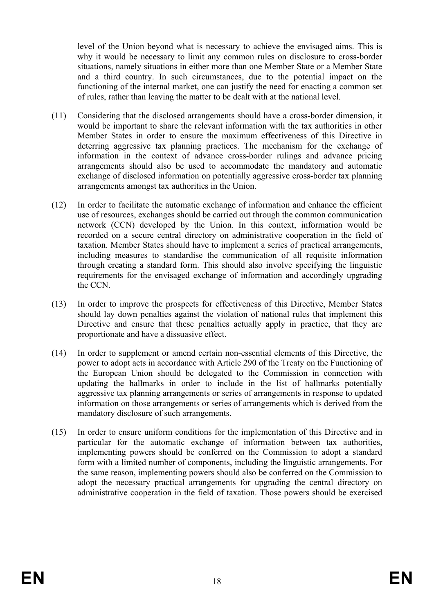level of the Union beyond what is necessary to achieve the envisaged aims. This is why it would be necessary to limit any common rules on disclosure to cross-border situations, namely situations in either more than one Member State or a Member State and a third country. In such circumstances, due to the potential impact on the functioning of the internal market, one can justify the need for enacting a common set of rules, rather than leaving the matter to be dealt with at the national level.

- (11) Considering that the disclosed arrangements should have a cross-border dimension, it would be important to share the relevant information with the tax authorities in other Member States in order to ensure the maximum effectiveness of this Directive in deterring aggressive tax planning practices. The mechanism for the exchange of information in the context of advance cross-border rulings and advance pricing arrangements should also be used to accommodate the mandatory and automatic exchange of disclosed information on potentially aggressive cross-border tax planning arrangements amongst tax authorities in the Union.
- (12) In order to facilitate the automatic exchange of information and enhance the efficient use of resources, exchanges should be carried out through the common communication network (CCN) developed by the Union. In this context, information would be recorded on a secure central directory on administrative cooperation in the field of taxation. Member States should have to implement a series of practical arrangements, including measures to standardise the communication of all requisite information through creating a standard form. This should also involve specifying the linguistic requirements for the envisaged exchange of information and accordingly upgrading the CCN.
- (13) In order to improve the prospects for effectiveness of this Directive, Member States should lay down penalties against the violation of national rules that implement this Directive and ensure that these penalties actually apply in practice, that they are proportionate and have a dissuasive effect.
- (14) In order to supplement or amend certain non-essential elements of this Directive, the power to adopt acts in accordance with Article 290 of the Treaty on the Functioning of the European Union should be delegated to the Commission in connection with updating the hallmarks in order to include in the list of hallmarks potentially aggressive tax planning arrangements or series of arrangements in response to updated information on those arrangements or series of arrangements which is derived from the mandatory disclosure of such arrangements.
- (15) In order to ensure uniform conditions for the implementation of this Directive and in particular for the automatic exchange of information between tax authorities, implementing powers should be conferred on the Commission to adopt a standard form with a limited number of components, including the linguistic arrangements. For the same reason, implementing powers should also be conferred on the Commission to adopt the necessary practical arrangements for upgrading the central directory on administrative cooperation in the field of taxation. Those powers should be exercised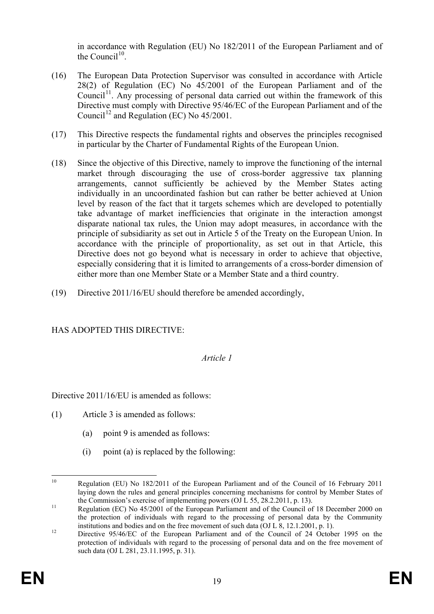in accordance with Regulation (EU) No 182/2011 of the European Parliament and of the Council $1^{10}$ .

- (16) The European Data Protection Supervisor was consulted in accordance with Article 28(2) of Regulation (EC) No 45/2001 of the European Parliament and of the  $Count<sup>11</sup>$ . Any processing of personal data carried out within the framework of this Directive must comply with Directive 95/46/EC of the European Parliament and of the Council<sup>[12](#page-19-2)</sup> and Regulation (EC) No  $45/2001$ .
- (17) This Directive respects the fundamental rights and observes the principles recognised in particular by the Charter of Fundamental Rights of the European Union.
- (18) Since the objective of this Directive, namely to improve the functioning of the internal market through discouraging the use of cross-border aggressive tax planning arrangements, cannot sufficiently be achieved by the Member States acting individually in an uncoordinated fashion but can rather be better achieved at Union level by reason of the fact that it targets schemes which are developed to potentially take advantage of market inefficiencies that originate in the interaction amongst disparate national tax rules, the Union may adopt measures, in accordance with the principle of subsidiarity as set out in Article 5 of the Treaty on the European Union. In accordance with the principle of proportionality, as set out in that Article, this Directive does not go beyond what is necessary in order to achieve that objective, especially considering that it is limited to arrangements of a cross-border dimension of either more than one Member State or a Member State and a third country.
- (19) Directive 2011/16/EU should therefore be amended accordingly,

# HAS ADOPTED THIS DIRECTIVE:

### *Article 1*

Directive 2011/16/EU is amended as follows:

- (1) Article 3 is amended as follows:
	- (a) point 9 is amended as follows:
	- $(i)$  point  $(a)$  is replaced by the following:

<span id="page-19-0"></span><sup>&</sup>lt;sup>10</sup> Regulation (EU) No 182/2011 of the European Parliament and of the Council of 16 February 2011 laying down the rules and general principles concerning mechanisms for control by Member States of the Commission's exercise of implementing powers (OJ L 55, 28.2.2011, p. 13).

<span id="page-19-1"></span>the Commission's exercise of implementing powers (OJ E 35, 28.2.2011, p. 13).<br>Regulation (EC) No 45/2001 of the European Parliament and of the Council of 18 December 2000 on the protection of individuals with regard to the processing of personal data by the Community institutions and bodies and on the free movement of such data (OJ L 8, 12.1.2001, p. 1).<br>Directive 95/46/EC of the European Parliament and of the Council of 24 October 1995 on the

<span id="page-19-2"></span>protection of individuals with regard to the processing of personal data and on the free movement of such data (OJ L 281, 23.11.1995, p. 31).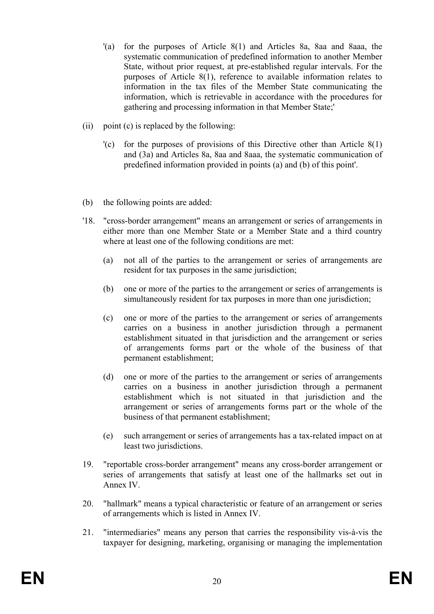- '(a) for the purposes of Article 8(1) and Articles 8a, 8aa and 8aaa, the systematic communication of predefined information to another Member State, without prior request, at pre-established regular intervals. For the purposes of Article 8(1), reference to available information relates to information in the tax files of the Member State communicating the information, which is retrievable in accordance with the procedures for gathering and processing information in that Member State;'
- (ii) point (c) is replaced by the following:
	- '(c) for the purposes of provisions of this Directive other than Article 8(1) and (3a) and Articles 8a, 8aa and 8aaa, the systematic communication of predefined information provided in points (a) and (b) of this point'.
- (b) the following points are added:
- '18. "cross-border arrangement" means an arrangement or series of arrangements in either more than one Member State or a Member State and a third country where at least one of the following conditions are met:
	- (a) not all of the parties to the arrangement or series of arrangements are resident for tax purposes in the same jurisdiction;
	- (b) one or more of the parties to the arrangement or series of arrangements is simultaneously resident for tax purposes in more than one jurisdiction;
	- (c) one or more of the parties to the arrangement or series of arrangements carries on a business in another jurisdiction through a permanent establishment situated in that jurisdiction and the arrangement or series of arrangements forms part or the whole of the business of that permanent establishment;
	- (d) one or more of the parties to the arrangement or series of arrangements carries on a business in another jurisdiction through a permanent establishment which is not situated in that jurisdiction and the arrangement or series of arrangements forms part or the whole of the business of that permanent establishment;
	- (e) such arrangement or series of arrangements has a tax-related impact on at least two jurisdictions.
- 19. "reportable cross-border arrangement" means any cross-border arrangement or series of arrangements that satisfy at least one of the hallmarks set out in Annex IV.
- 20. "hallmark" means a typical characteristic or feature of an arrangement or series of arrangements which is listed in Annex IV.
- 21. "intermediaries" means any person that carries the responsibility vis-à-vis the taxpayer for designing, marketing, organising or managing the implementation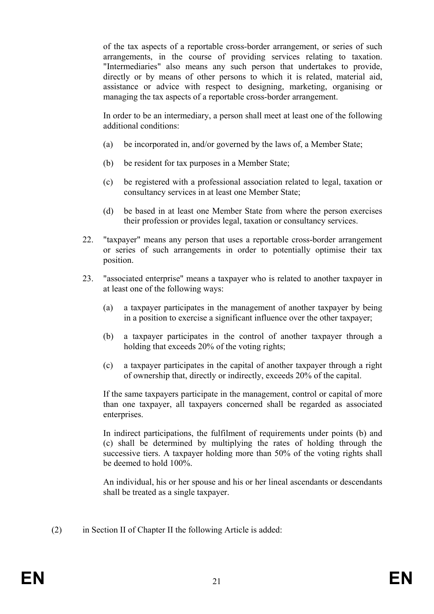of the tax aspects of a reportable cross-border arrangement, or series of such arrangements, in the course of providing services relating to taxation. "Intermediaries" also means any such person that undertakes to provide, directly or by means of other persons to which it is related, material aid, assistance or advice with respect to designing, marketing, organising or managing the tax aspects of a reportable cross-border arrangement.

In order to be an intermediary, a person shall meet at least one of the following additional conditions:

- (a) be incorporated in, and/or governed by the laws of, a Member State;
- (b) be resident for tax purposes in a Member State;
- (c) be registered with a professional association related to legal, taxation or consultancy services in at least one Member State;
- (d) be based in at least one Member State from where the person exercises their profession or provides legal, taxation or consultancy services.
- 22. "taxpayer" means any person that uses a reportable cross-border arrangement or series of such arrangements in order to potentially optimise their tax position.
- 23. "associated enterprise" means a taxpayer who is related to another taxpayer in at least one of the following ways:
	- (a) a taxpayer participates in the management of another taxpayer by being in a position to exercise a significant influence over the other taxpayer;
	- (b) a taxpayer participates in the control of another taxpayer through a holding that exceeds 20% of the voting rights;
	- (c) a taxpayer participates in the capital of another taxpayer through a right of ownership that, directly or indirectly, exceeds 20% of the capital.

If the same taxpayers participate in the management, control or capital of more than one taxpayer, all taxpayers concerned shall be regarded as associated enterprises.

In indirect participations, the fulfilment of requirements under points (b) and (c) shall be determined by multiplying the rates of holding through the successive tiers. A taxpayer holding more than 50% of the voting rights shall be deemed to hold 100%.

An individual, his or her spouse and his or her lineal ascendants or descendants shall be treated as a single taxpayer.

(2) in Section II of Chapter II the following Article is added: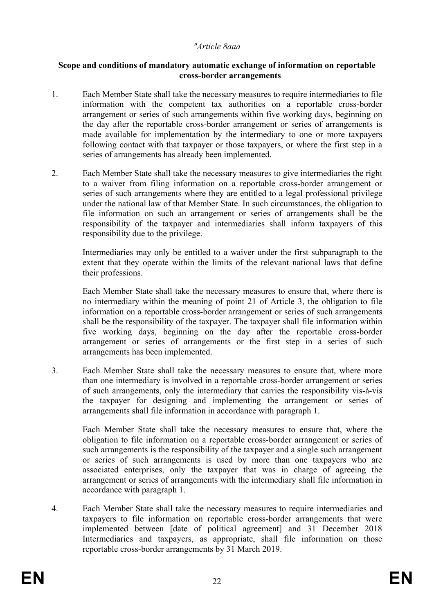#### *"Article 8aaa*

#### **Scope and conditions of mandatory automatic exchange of information on reportable cross-border arrangements**

- 1. Each Member State shall take the necessary measures to require intermediaries to file information with the competent tax authorities on a reportable cross-border arrangement or series of such arrangements within five working days, beginning on the day after the reportable cross-border arrangement or series of arrangements is made available for implementation by the intermediary to one or more taxpayers following contact with that taxpayer or those taxpayers, or where the first step in a series of arrangements has already been implemented.
- 2. Each Member State shall take the necessary measures to give intermediaries the right to a waiver from filing information on a reportable cross-border arrangement or series of such arrangements where they are entitled to a legal professional privilege under the national law of that Member State. In such circumstances, the obligation to file information on such an arrangement or series of arrangements shall be the responsibility of the taxpayer and intermediaries shall inform taxpayers of this responsibility due to the privilege.

Intermediaries may only be entitled to a waiver under the first subparagraph to the extent that they operate within the limits of the relevant national laws that define their professions.

Each Member State shall take the necessary measures to ensure that, where there is no intermediary within the meaning of point 21 of Article 3, the obligation to file information on a reportable cross-border arrangement or series of such arrangements shall be the responsibility of the taxpayer. The taxpayer shall file information within five working days, beginning on the day after the reportable cross-border arrangement or series of arrangements or the first step in a series of such arrangements has been implemented.

3. Each Member State shall take the necessary measures to ensure that, where more than one intermediary is involved in a reportable cross-border arrangement or series of such arrangements, only the intermediary that carries the responsibility vis-à-vis the taxpayer for designing and implementing the arrangement or series of arrangements shall file information in accordance with paragraph 1.

Each Member State shall take the necessary measures to ensure that, where the obligation to file information on a reportable cross-border arrangement or series of such arrangements is the responsibility of the taxpayer and a single such arrangement or series of such arrangements is used by more than one taxpayers who are associated enterprises, only the taxpayer that was in charge of agreeing the arrangement or series of arrangements with the intermediary shall file information in accordance with paragraph 1.

4. Each Member State shall take the necessary measures to require intermediaries and taxpayers to file information on reportable cross-border arrangements that were implemented between [date of political agreement] and 31 December 2018 Intermediaries and taxpayers, as appropriate, shall file information on those reportable cross-border arrangements by 31 March 2019.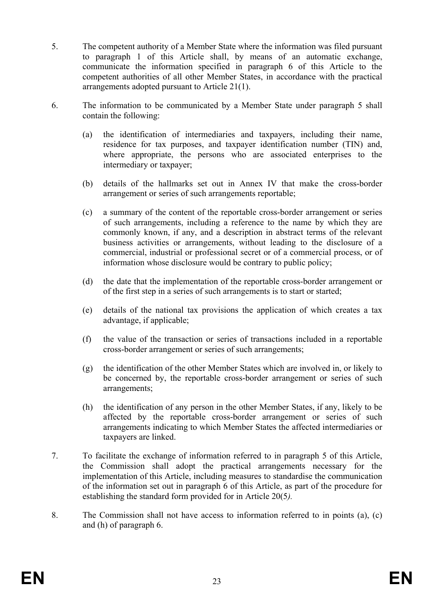- 5. The competent authority of a Member State where the information was filed pursuant to paragraph 1 of this Article shall, by means of an automatic exchange, communicate the information specified in paragraph 6 of this Article to the competent authorities of all other Member States, in accordance with the practical arrangements adopted pursuant to Article 21(1).
- 6. The information to be communicated by a Member State under paragraph 5 shall contain the following:
	- (a) the identification of intermediaries and taxpayers, including their name, residence for tax purposes, and taxpayer identification number (TIN) and, where appropriate, the persons who are associated enterprises to the intermediary or taxpayer;
	- (b) details of the hallmarks set out in Annex IV that make the cross-border arrangement or series of such arrangements reportable;
	- (c) a summary of the content of the reportable cross-border arrangement or series of such arrangements, including a reference to the name by which they are commonly known, if any, and a description in abstract terms of the relevant business activities or arrangements, without leading to the disclosure of a commercial, industrial or professional secret or of a commercial process, or of information whose disclosure would be contrary to public policy;
	- (d) the date that the implementation of the reportable cross-border arrangement or of the first step in a series of such arrangements is to start or started;
	- (e) details of the national tax provisions the application of which creates a tax advantage, if applicable;
	- (f) the value of the transaction or series of transactions included in a reportable cross-border arrangement or series of such arrangements;
	- (g) the identification of the other Member States which are involved in, or likely to be concerned by, the reportable cross-border arrangement or series of such arrangements;
	- (h) the identification of any person in the other Member States, if any, likely to be affected by the reportable cross-border arrangement or series of such arrangements indicating to which Member States the affected intermediaries or taxpayers are linked.
- 7. To facilitate the exchange of information referred to in paragraph 5 of this Article, the Commission shall adopt the practical arrangements necessary for the implementation of this Article, including measures to standardise the communication of the information set out in paragraph 6 of this Article, as part of the procedure for establishing the standard form provided for in Article 20(5*).*
- 8. The Commission shall not have access to information referred to in points (a), (c) and (h) of paragraph 6.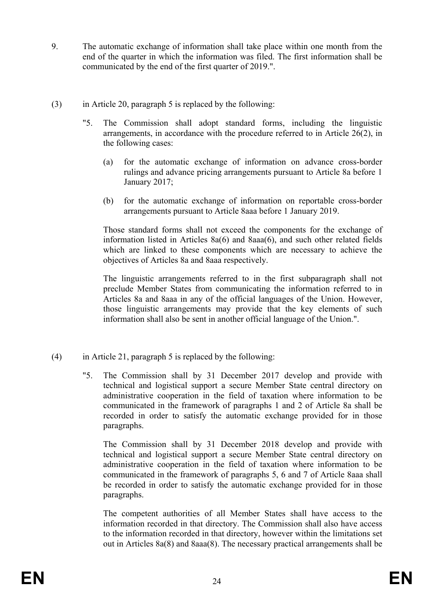- 9. The automatic exchange of information shall take place within one month from the end of the quarter in which the information was filed. The first information shall be communicated by the end of the first quarter of 2019.".
- (3) in Article 20, paragraph 5 is replaced by the following:
	- "5. The Commission shall adopt standard forms, including the linguistic arrangements, in accordance with the procedure referred to in Article 26(2), in the following cases:
		- (a) for the automatic exchange of information on advance cross-border rulings and advance pricing arrangements pursuant to Article 8a before 1 January 2017;
		- (b) for the automatic exchange of information on reportable cross-border arrangements pursuant to Article 8aaa before 1 January 2019.

Those standard forms shall not exceed the components for the exchange of information listed in Articles 8a(6) and 8aaa(6), and such other related fields which are linked to these components which are necessary to achieve the objectives of Articles 8a and 8aaa respectively.

The linguistic arrangements referred to in the first subparagraph shall not preclude Member States from communicating the information referred to in Articles 8a and 8aaa in any of the official languages of the Union. However, those linguistic arrangements may provide that the key elements of such information shall also be sent in another official language of the Union.".

- (4) in Article 21, paragraph 5 is replaced by the following:
	- "5. The Commission shall by 31 December 2017 develop and provide with technical and logistical support a secure Member State central directory on administrative cooperation in the field of taxation where information to be communicated in the framework of paragraphs 1 and 2 of Article 8a shall be recorded in order to satisfy the automatic exchange provided for in those paragraphs.

The Commission shall by 31 December 2018 develop and provide with technical and logistical support a secure Member State central directory on administrative cooperation in the field of taxation where information to be communicated in the framework of paragraphs 5, 6 and 7 of Article 8aaa shall be recorded in order to satisfy the automatic exchange provided for in those paragraphs.

The competent authorities of all Member States shall have access to the information recorded in that directory. The Commission shall also have access to the information recorded in that directory, however within the limitations set out in Articles 8a(8) and 8aaa(8). The necessary practical arrangements shall be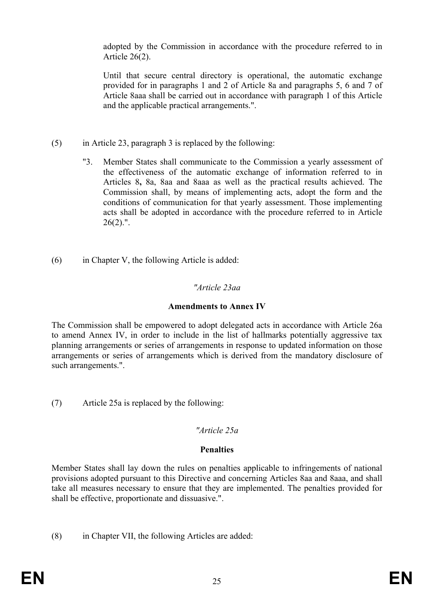adopted by the Commission in accordance with the procedure referred to in Article 26(2).

Until that secure central directory is operational, the automatic exchange provided for in paragraphs 1 and 2 of Article 8a and paragraphs 5, 6 and 7 of Article 8aaa shall be carried out in accordance with paragraph 1 of this Article and the applicable practical arrangements.".

- (5) in Article 23, paragraph 3 is replaced by the following:
	- "3. Member States shall communicate to the Commission a yearly assessment of the effectiveness of the automatic exchange of information referred to in Articles 8**,** 8a, 8aa and 8aaa as well as the practical results achieved. The Commission shall, by means of implementing acts, adopt the form and the conditions of communication for that yearly assessment. Those implementing acts shall be adopted in accordance with the procedure referred to in Article  $26(2)$ .".
- (6) in Chapter V, the following Article is added:

# *"Article 23aa*

# **Amendments to Annex IV**

The Commission shall be empowered to adopt delegated acts in accordance with Article 26a to amend Annex IV, in order to include in the list of hallmarks potentially aggressive tax planning arrangements or series of arrangements in response to updated information on those arrangements or series of arrangements which is derived from the mandatory disclosure of such arrangements.".

(7) Article 25a is replaced by the following:

### *"Article 25a*

### **Penalties**

Member States shall lay down the rules on penalties applicable to infringements of national provisions adopted pursuant to this Directive and concerning Articles 8aa and 8aaa, and shall take all measures necessary to ensure that they are implemented. The penalties provided for shall be effective, proportionate and dissuasive.".

(8) in Chapter VII, the following Articles are added: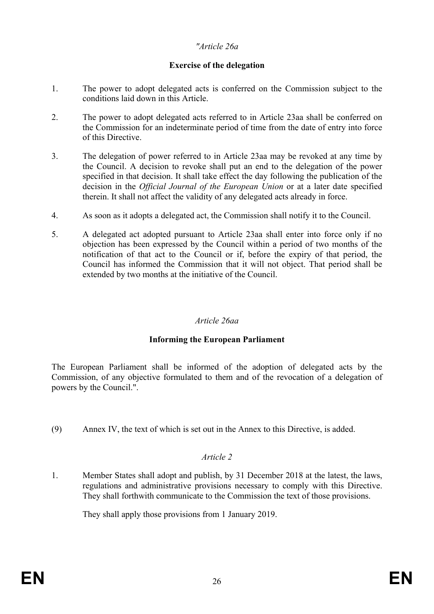## *"Article 26a*

# **Exercise of the delegation**

- 1. The power to adopt delegated acts is conferred on the Commission subject to the conditions laid down in this Article.
- 2. The power to adopt delegated acts referred to in Article 23aa shall be conferred on the Commission for an indeterminate period of time from the date of entry into force of this Directive.
- 3. The delegation of power referred to in Article 23aa may be revoked at any time by the Council. A decision to revoke shall put an end to the delegation of the power specified in that decision. It shall take effect the day following the publication of the decision in the *Official Journal of the European Union* or at a later date specified therein. It shall not affect the validity of any delegated acts already in force.
- 4. As soon as it adopts a delegated act, the Commission shall notify it to the Council.
- 5. A delegated act adopted pursuant to Article 23aa shall enter into force only if no objection has been expressed by the Council within a period of two months of the notification of that act to the Council or if, before the expiry of that period, the Council has informed the Commission that it will not object. That period shall be extended by two months at the initiative of the Council.

# *Article 26aa*

### **Informing the European Parliament**

The European Parliament shall be informed of the adoption of delegated acts by the Commission, of any objective formulated to them and of the revocation of a delegation of powers by the Council.".

(9) Annex IV, the text of which is set out in the Annex to this Directive, is added.

### *Article 2*

1. Member States shall adopt and publish, by 31 December 2018 at the latest, the laws, regulations and administrative provisions necessary to comply with this Directive. They shall forthwith communicate to the Commission the text of those provisions.

They shall apply those provisions from 1 January 2019.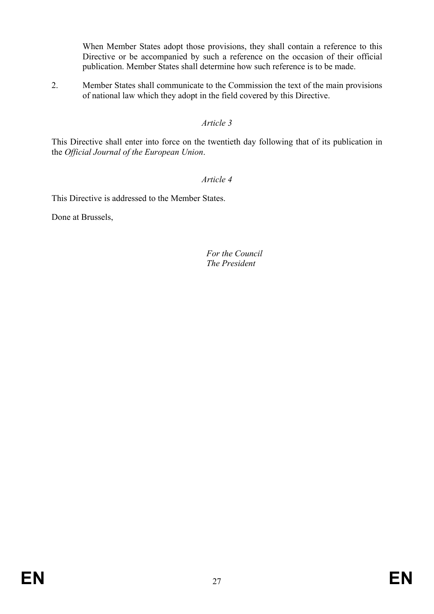When Member States adopt those provisions, they shall contain a reference to this Directive or be accompanied by such a reference on the occasion of their official publication. Member States shall determine how such reference is to be made.

2. Member States shall communicate to the Commission the text of the main provisions of national law which they adopt in the field covered by this Directive.

## *Article 3*

This Directive shall enter into force on the twentieth day following that of its publication in the *Official Journal of the European Union*.

# *Article 4*

This Directive is addressed to the Member States.

Done at Brussels,

*For the Council The President*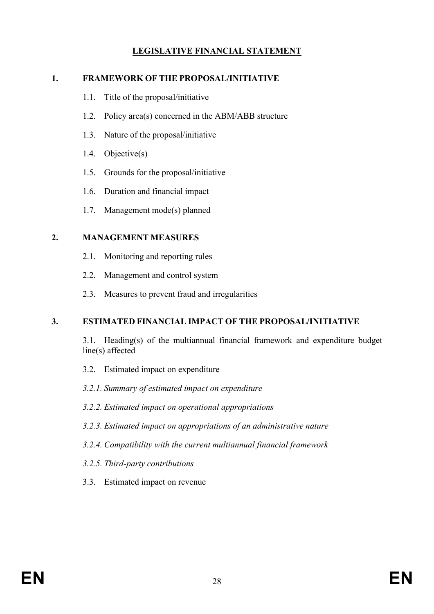# **LEGISLATIVE FINANCIAL STATEMENT**

#### **1. FRAMEWORK OF THE PROPOSAL/INITIATIVE**

- 1.1. Title of the proposal/initiative
- 1.2. Policy area(s) concerned in the ABM/ABB structure
- 1.3. Nature of the proposal/initiative
- 1.4. Objective(s)
- 1.5. Grounds for the proposal/initiative
- 1.6. Duration and financial impact
- 1.7. Management mode(s) planned

#### **2. MANAGEMENT MEASURES**

- 2.1. Monitoring and reporting rules
- 2.2. Management and control system
- 2.3. Measures to prevent fraud and irregularities

### **3. ESTIMATED FINANCIAL IMPACT OF THE PROPOSAL/INITIATIVE**

3.1. Heading(s) of the multiannual financial framework and expenditure budget line(s) affected

- 3.2. Estimated impact on expenditure
- *3.2.1. Summary of estimated impact on expenditure*
- *3.2.2. Estimated impact on operational appropriations*
- *3.2.3. Estimated impact on appropriations of an administrative nature*
- *3.2.4. Compatibility with the current multiannual financial framework*
- *3.2.5. Third-party contributions*
- 3.3. Estimated impact on revenue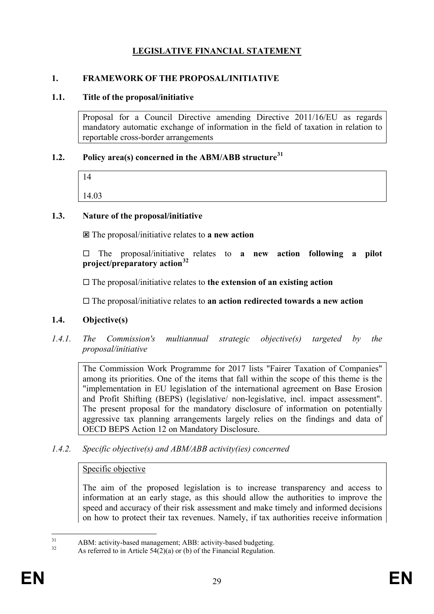# **LEGISLATIVE FINANCIAL STATEMENT**

## **1. FRAMEWORK OF THE PROPOSAL/INITIATIVE**

#### **1.1. Title of the proposal/initiative**

Proposal for a Council Directive amending Directive 2011/16/EU as regards mandatory automatic exchange of information in the field of taxation in relation to reportable cross-border arrangements

#### **1.2. Policy area(s) concerned in the ABM/ABB structure[31](#page-29-0)**

| 14    |  |  |  |
|-------|--|--|--|
| 14.03 |  |  |  |

### **1.3. Nature of the proposal/initiative**

The proposal/initiative relates to **a new action**

 $\Box$  The proposal/initiative relates to **a new action following a pilot project/preparatory action[32](#page-29-1)**

The proposal/initiative relates to **the extension of an existing action**

The proposal/initiative relates to **an action redirected towards a new action**

### **1.4. Objective(s)**

*1.4.1. The Commission's multiannual strategic objective(s) targeted by the proposal/initiative* 

The Commission Work Programme for 2017 lists "Fairer Taxation of Companies" among its priorities. One of the items that fall within the scope of this theme is the "implementation in EU legislation of the international agreement on Base Erosion and Profit Shifting (BEPS) (legislative/ non-legislative, incl. impact assessment". The present proposal for the mandatory disclosure of information on potentially aggressive tax planning arrangements largely relies on the findings and data of OECD BEPS Action 12 on Mandatory Disclosure.

*1.4.2. Specific objective(s) and ABM/ABB activity(ies) concerned* 

#### Specific objective

The aim of the proposed legislation is to increase transparency and access to information at an early stage, as this should allow the authorities to improve the speed and accuracy of their risk assessment and make timely and informed decisions on how to protect their tax revenues. Namely, if tax authorities receive information

<span id="page-29-1"></span><span id="page-29-0"></span><sup>&</sup>lt;sup>31</sup> ABM: activity-based management; ABB: activity-based budgeting.<br>As referred to in Article 54(2)(a) or (b) of the Financial Regulation.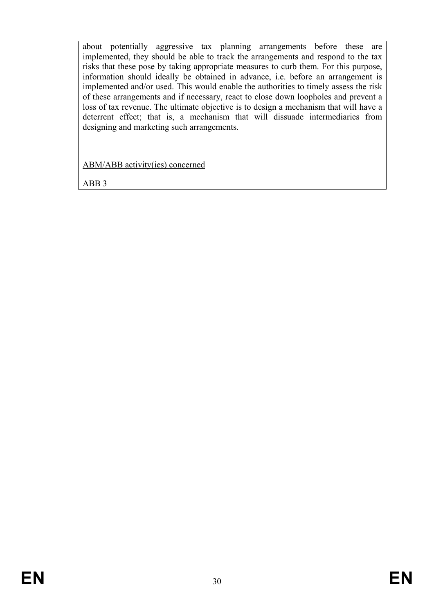about potentially aggressive tax planning arrangements before these are implemented, they should be able to track the arrangements and respond to the tax risks that these pose by taking appropriate measures to curb them. For this purpose, information should ideally be obtained in advance, i.e. before an arrangement is implemented and/or used. This would enable the authorities to timely assess the risk of these arrangements and if necessary, react to close down loopholes and prevent a loss of tax revenue. The ultimate objective is to design a mechanism that will have a deterrent effect; that is, a mechanism that will dissuade intermediaries from designing and marketing such arrangements.

ABM/ABB activity(ies) concerned

ABB 3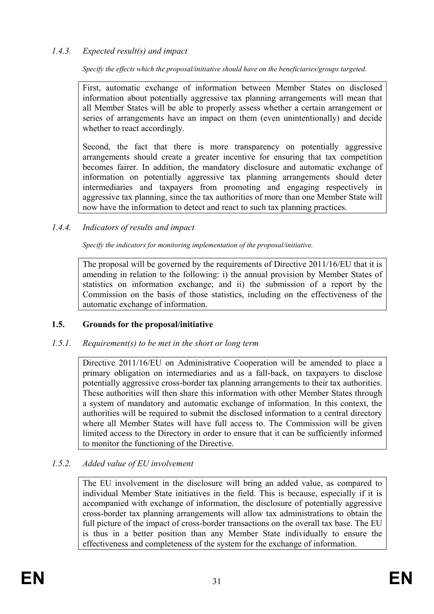## *1.4.3. Expected result(s) and impact*

*Specify the effects which the proposal/initiative should have on the beneficiaries/groups targeted.*

First, automatic exchange of information between Member States on disclosed information about potentially aggressive tax planning arrangements will mean that all Member States will be able to properly assess whether a certain arrangement or series of arrangements have an impact on them (even unintentionally) and decide whether to react accordingly.

Second, the fact that there is more transparency on potentially aggressive arrangements should create a greater incentive for ensuring that tax competition becomes fairer. In addition, the mandatory disclosure and automatic exchange of information on potentially aggressive tax planning arrangements should deter intermediaries and taxpayers from promoting and engaging respectively in aggressive tax planning, since the tax authorities of more than one Member State will now have the information to detect and react to such tax planning practices.

#### *1.4.4. Indicators of results and impact*

*Specify the indicators for monitoring implementation of the proposal/initiative.*

The proposal will be governed by the requirements of Directive 2011/16/EU that it is amending in relation to the following: i) the annual provision by Member States of statistics on information exchange; and ii) the submission of a report by the Commission on the basis of those statistics, including on the effectiveness of the automatic exchange of information.

### **1.5. Grounds for the proposal/initiative**

#### *1.5.1. Requirement(s) to be met in the short or long term*

Directive 2011/16/EU on Administrative Cooperation will be amended to place a primary obligation on intermediaries and as a fall-back, on taxpayers to disclose potentially aggressive cross-border tax planning arrangements to their tax authorities. These authorities will then share this information with other Member States through a system of mandatory and automatic exchange of information. In this context, the authorities will be required to submit the disclosed information to a central directory where all Member States will have full access to. The Commission will be given limited access to the Directory in order to ensure that it can be sufficiently informed to monitor the functioning of the Directive.

#### *1.5.2. Added value of EU involvement*

The EU involvement in the disclosure will bring an added value, as compared to individual Member State initiatives in the field. This is because, especially if it is accompanied with exchange of information, the disclosure of potentially aggressive cross-border tax planning arrangements will allow tax administrations to obtain the full picture of the impact of cross-border transactions on the overall tax base. The EU is thus in a better position than any Member State individually to ensure the effectiveness and completeness of the system for the exchange of information.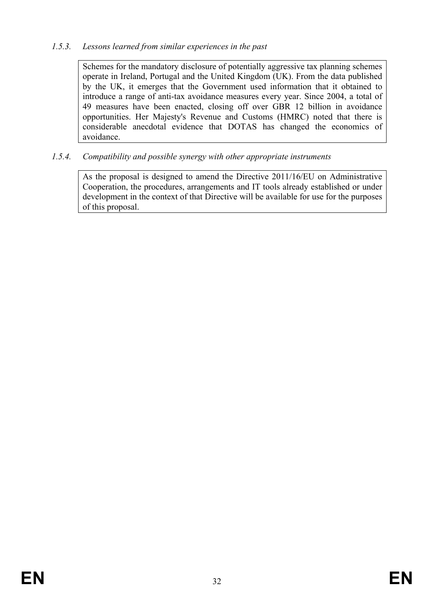## *1.5.3. Lessons learned from similar experiences in the past*

Schemes for the mandatory disclosure of potentially aggressive tax planning schemes operate in Ireland, Portugal and the United Kingdom (UK). From the data published by the UK, it emerges that the Government used information that it obtained to introduce a range of anti-tax avoidance measures every year. Since 2004, a total of 49 measures have been enacted, closing off over GBR 12 billion in avoidance opportunities. Her Majesty's Revenue and Customs (HMRC) noted that there is considerable anecdotal evidence that DOTAS has changed the economics of avoidance.

# *1.5.4. Compatibility and possible synergy with other appropriate instruments*

As the proposal is designed to amend the Directive 2011/16/EU on Administrative Cooperation, the procedures, arrangements and IT tools already established or under development in the context of that Directive will be available for use for the purposes of this proposal.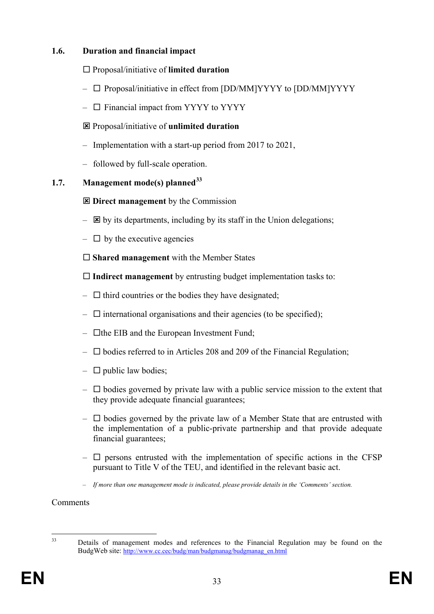## **1.6. Duration and financial impact**

- Proposal/initiative of **limited duration**
- $\Box$  Proposal/initiative in effect from [DD/MM]YYYY to [DD/MM]YYYY
- $\Box$  Financial impact from YYYY to YYYY
- Proposal/initiative of **unlimited duration**
- Implementation with a start-up period from 2017 to 2021,
- followed by full-scale operation.

# **1.7. Management mode(s) planned[33](#page-33-0)**

- $\Xi$  Direct management by the Commission
- $\boxtimes$  by its departments, including by its staff in the Union delegations;
- $\Box$  by the executive agencies

**Shared management** with the Member States

**Indirect management** by entrusting budget implementation tasks to:

- $\Box$  third countries or the bodies they have designated;
- $\Box$  international organisations and their agencies (to be specified);
- $\Box$  the EIB and the European Investment Fund;
- $\Box$  bodies referred to in Articles 208 and 209 of the Financial Regulation;
- $\Box$  public law bodies;
- $\Box$  bodies governed by private law with a public service mission to the extent that they provide adequate financial guarantees;
- $\Box$  bodies governed by the private law of a Member State that are entrusted with the implementation of a public-private partnership and that provide adequate financial guarantees;
- $\Box$  persons entrusted with the implementation of specific actions in the CFSP pursuant to Title V of the TEU, and identified in the relevant basic act.
- *If more than one management mode is indicated, please provide details in the 'Comments' section.*

Comments

<span id="page-33-0"></span>

<sup>&</sup>lt;sup>33</sup> Details of management modes and references to the Financial Regulation may be found on the BudgWeb site: [http://www.cc.cec/budg/man/budgmanag/budgmanag\\_en.html](http://www.cc.cec/budg/man/budgmanag/budgmanag_en.html)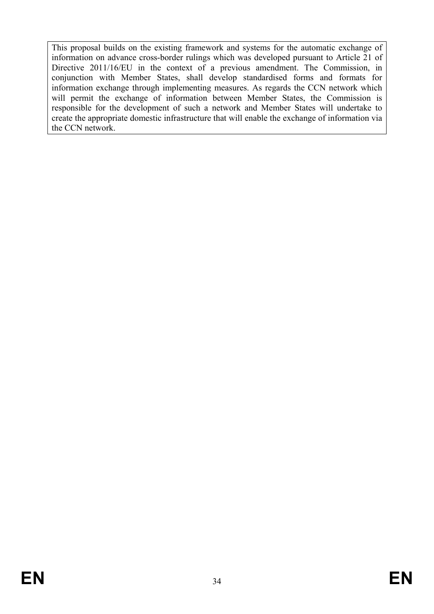This proposal builds on the existing framework and systems for the automatic exchange of information on advance cross-border rulings which was developed pursuant to Article 21 of Directive 2011/16/EU in the context of a previous amendment. The Commission, in conjunction with Member States, shall develop standardised forms and formats for information exchange through implementing measures. As regards the CCN network which will permit the exchange of information between Member States, the Commission is responsible for the development of such a network and Member States will undertake to create the appropriate domestic infrastructure that will enable the exchange of information via the CCN network.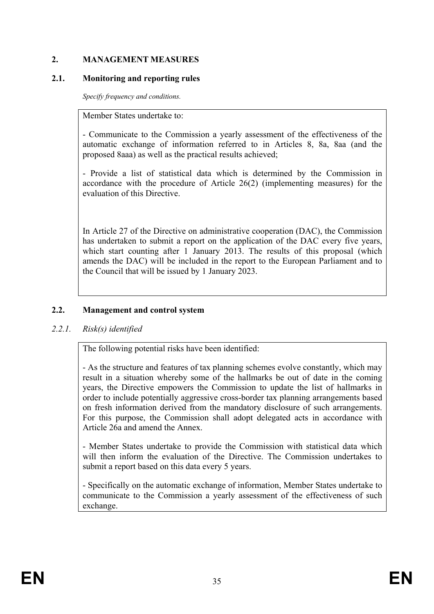# **2. MANAGEMENT MEASURES**

## **2.1. Monitoring and reporting rules**

*Specify frequency and conditions.*

Member States undertake to:

- Communicate to the Commission a yearly assessment of the effectiveness of the automatic exchange of information referred to in Articles 8, 8a, 8aa (and the proposed 8aaa) as well as the practical results achieved;

- Provide a list of statistical data which is determined by the Commission in accordance with the procedure of Article 26(2) (implementing measures) for the evaluation of this Directive.

In Article 27 of the Directive on administrative cooperation (DAC), the Commission has undertaken to submit a report on the application of the DAC every five years, which start counting after 1 January 2013. The results of this proposal (which amends the DAC) will be included in the report to the European Parliament and to the Council that will be issued by 1 January 2023.

# **2.2. Management and control system**

# *2.2.1. Risk(s) identified*

The following potential risks have been identified:

- As the structure and features of tax planning schemes evolve constantly, which may result in a situation whereby some of the hallmarks be out of date in the coming years, the Directive empowers the Commission to update the list of hallmarks in order to include potentially aggressive cross-border tax planning arrangements based on fresh information derived from the mandatory disclosure of such arrangements. For this purpose, the Commission shall adopt delegated acts in accordance with Article 26a and amend the Annex.

- Member States undertake to provide the Commission with statistical data which will then inform the evaluation of the Directive. The Commission undertakes to submit a report based on this data every 5 years.

- Specifically on the automatic exchange of information, Member States undertake to communicate to the Commission a yearly assessment of the effectiveness of such exchange.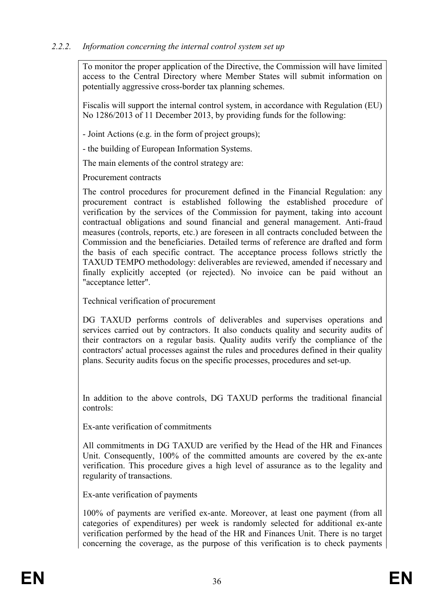# *2.2.2. Information concerning the internal control system set up*

To monitor the proper application of the Directive, the Commission will have limited access to the Central Directory where Member States will submit information on potentially aggressive cross-border tax planning schemes.

Fiscalis will support the internal control system, in accordance with Regulation (EU) No 1286/2013 of 11 December 2013, by providing funds for the following:

- Joint Actions (e.g. in the form of project groups);

- the building of European Information Systems.

The main elements of the control strategy are:

Procurement contracts

The control procedures for procurement defined in the Financial Regulation: any procurement contract is established following the established procedure of verification by the services of the Commission for payment, taking into account contractual obligations and sound financial and general management. Anti-fraud measures (controls, reports, etc.) are foreseen in all contracts concluded between the Commission and the beneficiaries. Detailed terms of reference are drafted and form the basis of each specific contract. The acceptance process follows strictly the TAXUD TEMPO methodology: deliverables are reviewed, amended if necessary and finally explicitly accepted (or rejected). No invoice can be paid without an "acceptance letter".

Technical verification of procurement

DG TAXUD performs controls of deliverables and supervises operations and services carried out by contractors. It also conducts quality and security audits of their contractors on a regular basis. Quality audits verify the compliance of the contractors' actual processes against the rules and procedures defined in their quality plans. Security audits focus on the specific processes, procedures and set-up.

In addition to the above controls, DG TAXUD performs the traditional financial controls:

Ex-ante verification of commitments

All commitments in DG TAXUD are verified by the Head of the HR and Finances Unit. Consequently, 100% of the committed amounts are covered by the ex-ante verification. This procedure gives a high level of assurance as to the legality and regularity of transactions.

Ex-ante verification of payments

100% of payments are verified ex-ante. Moreover, at least one payment (from all categories of expenditures) per week is randomly selected for additional ex-ante verification performed by the head of the HR and Finances Unit. There is no target concerning the coverage, as the purpose of this verification is to check payments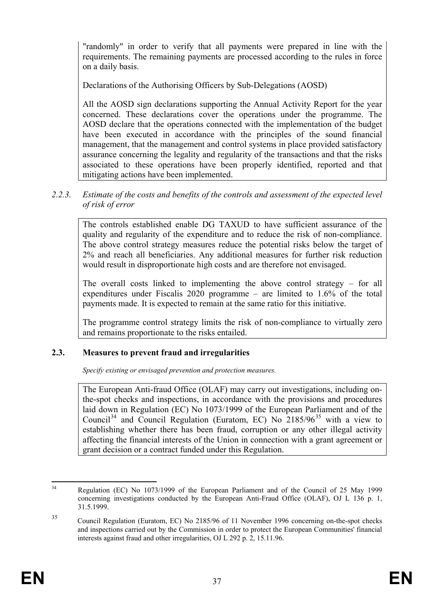"randomly" in order to verify that all payments were prepared in line with the requirements. The remaining payments are processed according to the rules in force on a daily basis.

Declarations of the Authorising Officers by Sub-Delegations (AOSD)

All the AOSD sign declarations supporting the Annual Activity Report for the year concerned. These declarations cover the operations under the programme. The AOSD declare that the operations connected with the implementation of the budget have been executed in accordance with the principles of the sound financial management, that the management and control systems in place provided satisfactory assurance concerning the legality and regularity of the transactions and that the risks associated to these operations have been properly identified, reported and that mitigating actions have been implemented.

### *2.2.3. Estimate of the costs and benefits of the controls and assessment of the expected level of risk of error*

The controls established enable DG TAXUD to have sufficient assurance of the quality and regularity of the expenditure and to reduce the risk of non-compliance. The above control strategy measures reduce the potential risks below the target of 2% and reach all beneficiaries. Any additional measures for further risk reduction would result in disproportionate high costs and are therefore not envisaged.

The overall costs linked to implementing the above control strategy – for all expenditures under Fiscalis 2020 programme – are limited to 1.6% of the total payments made. It is expected to remain at the same ratio for this initiative.

The programme control strategy limits the risk of non-compliance to virtually zero and remains proportionate to the risks entailed.

### **2.3. Measures to prevent fraud and irregularities**

*Specify existing or envisaged prevention and protection measures.*

The European Anti-fraud Office (OLAF) may carry out investigations, including onthe-spot checks and inspections, in accordance with the provisions and procedures laid down in Regulation (EC) No 1073/1999 of the European Parliament and of the Council<sup>[34](#page-37-0)</sup> and Council Regulation (Euratom, EC) No  $2185/96^{35}$  $2185/96^{35}$  $2185/96^{35}$  with a view to establishing whether there has been fraud, corruption or any other illegal activity affecting the financial interests of the Union in connection with a grant agreement or grant decision or a contract funded under this Regulation.

<span id="page-37-0"></span><sup>&</sup>lt;sup>34</sup> Regulation (EC) No 1073/1999 of the European Parliament and of the Council of 25 May 1999 concerning investigations conducted by the European Anti-Fraud Office (OLAF), OJ L 136 p. 1, 31.5.1999.

<span id="page-37-1"></span><sup>35</sup> Council Regulation (Euratom, EC) No 2185/96 of 11 November 1996 concerning on-the-spot checks and inspections carried out by the Commission in order to protect the European Communities' financial interests against fraud and other irregularities, OJ L 292 p. 2, 15.11.96.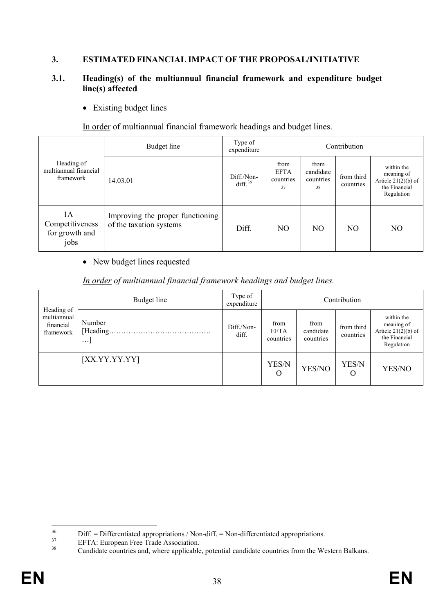# **3. ESTIMATED FINANCIAL IMPACT OF THE PROPOSAL/INITIATIVE**

#### **3.1. Heading(s) of the multiannual financial framework and expenditure budget line(s) affected**

• Existing budget lines

In order of multiannual financial framework headings and budget lines.

|                                                     | Budget line                                                 | Type of<br>expenditure   |                                        |                                      | Contribution            |                                                                                  |
|-----------------------------------------------------|-------------------------------------------------------------|--------------------------|----------------------------------------|--------------------------------------|-------------------------|----------------------------------------------------------------------------------|
| Heading of<br>multiannual financial<br>framework    | 14.03.01                                                    | Diff./Non-<br>diff. $36$ | from<br><b>EFTA</b><br>countries<br>37 | from<br>candidate<br>countries<br>38 | from third<br>countries | within the<br>meaning of<br>Article $21(2)(b)$ of<br>the Financial<br>Regulation |
| $1A -$<br>Competitiveness<br>for growth and<br>jobs | Improving the proper functioning<br>of the taxation systems | Diff.                    | N <sub>O</sub>                         | N <sub>O</sub>                       | NO.                     | N <sub>O</sub>                                                                   |

#### • New budget lines requested

#### *In order of multiannual financial framework headings and budget lines.*

| Heading of                            | Budget line                     | Type of<br>expenditure |                                  |                                | Contribution            |                                                                                  |
|---------------------------------------|---------------------------------|------------------------|----------------------------------|--------------------------------|-------------------------|----------------------------------------------------------------------------------|
| multiannual<br>financial<br>framework | Number<br>[Heading.<br>$\cdots$ | Diff./Non-<br>diff.    | from<br><b>EFTA</b><br>countries | from<br>candidate<br>countries | from third<br>countries | within the<br>meaning of<br>Article $21(2)(b)$ of<br>the Financial<br>Regulation |
|                                       | [XX.YY.YY.YY]                   |                        | YES/N<br>O                       | YES/NO                         | YES/N<br>O              | YES/NO                                                                           |

<span id="page-38-2"></span>

<span id="page-38-1"></span><span id="page-38-0"></span><sup>&</sup>lt;sup>36</sup><br>Diff. = Differentiated appropriations / Non-diff. = Non-differentiated appropriations.<br>EFTA: European Free Trade Association.<br>Candidate countries and, where applicable, potential candidate countries from the Western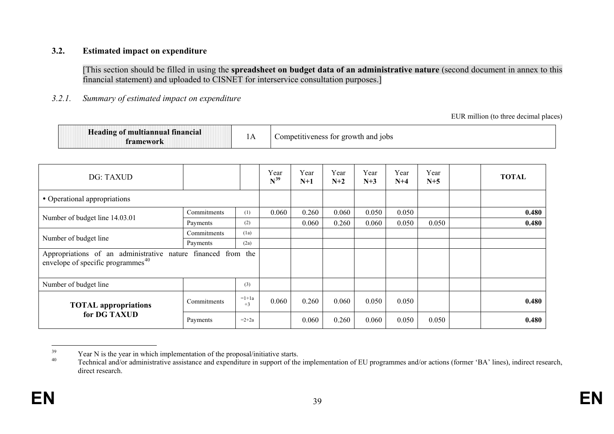#### **3.2. Estimated impact on expenditure**

[This section should be filled in using the **spreadsheet on budget data of an administrative nature** (second document in annex to this financial statement) and uploaded to CISNET for interservice consultation purposes.]

#### *3.2.1. Summary of estimated impact on expenditure*

<span id="page-39-1"></span><span id="page-39-0"></span>EUR million (to three decimal places)

| <b>Heading of multiannual</b> 1<br>tinancial<br>tramework | <b>TTT</b> | s for growth and jobs<br>Competitiveness |
|-----------------------------------------------------------|------------|------------------------------------------|
|-----------------------------------------------------------|------------|------------------------------------------|

| DG: TAXUD                                                                                                  |             |                 | Year<br>$N^{39}$ | Year<br>$N+1$ | Year<br>$N+2$ | Year<br>$N+3$ | Year<br>$N+4$ | Year<br>$N+5$ | <b>TOTAL</b> |
|------------------------------------------------------------------------------------------------------------|-------------|-----------------|------------------|---------------|---------------|---------------|---------------|---------------|--------------|
| • Operational appropriations                                                                               |             |                 |                  |               |               |               |               |               |              |
|                                                                                                            | Commitments | (1)             | 0.060            | 0.260         | 0.060         | 0.050         | 0.050         |               | 0.480        |
| Number of budget line 14.03.01                                                                             | Payments    | (2)             |                  | 0.060         | 0.260         | 0.060         | 0.050         | 0.050         | 0.480        |
| Number of budget line                                                                                      | Commitments | (1a)            |                  |               |               |               |               |               |              |
|                                                                                                            | Payments    | (2a)            |                  |               |               |               |               |               |              |
| Appropriations of an administrative nature financed from the envelope of specific programmes <sup>40</sup> |             |                 |                  |               |               |               |               |               |              |
| Number of budget line                                                                                      |             | (3)             |                  |               |               |               |               |               |              |
| <b>TOTAL</b> appropriations                                                                                | Commitments | $=1+1a$<br>$+3$ | 0.060            | 0.260         | 0.060         | 0.050         | 0.050         |               | 0.480        |
| for DG TAXUD                                                                                               | Payments    | $=2+2a$         |                  | 0.060         | 0.260         | 0.060         | 0.050         | 0.050         | 0.480        |

 $\frac{39}{40}$  Year N is the year in which implementation of the proposal/initiative starts.<br>Technical and/or administrative assistance and expenditure in support of the implementation of EU programmes and/or actions (former direct research.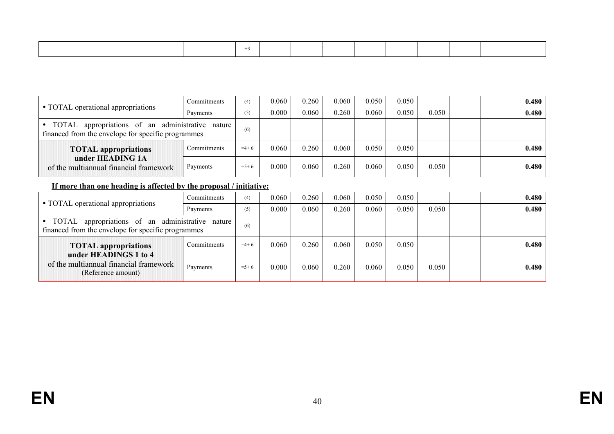|                                                                                                           | Commitments | (4)       | 0.060 | 0.260 | 0.060 | 0.050 | 0.050 |       | 0.480 |
|-----------------------------------------------------------------------------------------------------------|-------------|-----------|-------|-------|-------|-------|-------|-------|-------|
| • TOTAL operational appropriations                                                                        | Payments    | (5)       | 0.000 | 0.060 | 0.260 | 0.060 | 0.050 | 0.050 | 0.480 |
| appropriations of an administrative nature<br>TOTAL<br>financed from the envelope for specific programmes |             | (6)       |       |       |       |       |       |       |       |
| <b>TOTAL</b> appropriations                                                                               | Commitments | $=4+6$    | 0.060 | 0.260 | 0.060 | 0.050 | 0.050 |       | 0.480 |
| under HEADING 1A<br>of the multiannual financial framework                                                | Payments    | $= 5 + 6$ | 0.000 | 0.060 | 0.260 | 0.060 | 0.050 | 0.050 | 0.480 |

#### **If more than one heading is affected by the proposal / initiative:**

|                                                                                                           | Commitments | (4)     | 0.060 | 0.260 | 0.060 | 0.050 | 0.050 |       | 0.480 |
|-----------------------------------------------------------------------------------------------------------|-------------|---------|-------|-------|-------|-------|-------|-------|-------|
| • TOTAL operational appropriations                                                                        | Payments    | (5)     | 0.000 | 0.060 | 0.260 | 0.060 | 0.050 | 0.050 | 0.480 |
| appropriations of an administrative nature<br>TOTAL<br>financed from the envelope for specific programmes |             | (6)     |       |       |       |       |       |       |       |
| <b>TOTAL</b> appropriations                                                                               | Commitments | $=4+6$  | 0.060 | 0.260 | 0.060 | 0.050 | 0.050 |       | 0.480 |
| under HEADINGS 1 to 4<br>of the multiannual financial framework<br>(Reference amount)                     | Payments    | $=$ 5+6 | 0.000 | 0.060 | 0.260 | 0.060 | 0.050 | 0.050 | 0.480 |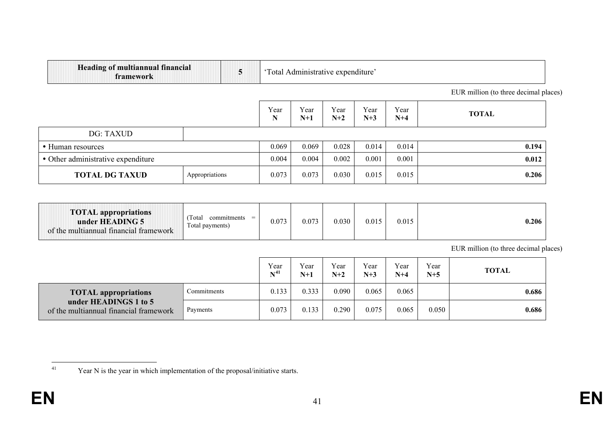<span id="page-41-0"></span>

| <b>Heading of multiannual financial</b><br>framework | 5              | 'Total Administrative expenditure' |               |               |               |               |                                       |  |  |  |  |  |
|------------------------------------------------------|----------------|------------------------------------|---------------|---------------|---------------|---------------|---------------------------------------|--|--|--|--|--|
|                                                      |                |                                    |               |               |               |               | EUR million (to three decimal places) |  |  |  |  |  |
|                                                      |                | Year<br>N                          | Year<br>$N+1$ | Year<br>$N+2$ | Year<br>$N+3$ | Year<br>$N+4$ | <b>TOTAL</b>                          |  |  |  |  |  |
| DG: TAXUD                                            |                |                                    |               |               |               |               |                                       |  |  |  |  |  |
| • Human resources                                    |                | 0.069                              | 0.069         | 0.028         | 0.014         | 0.014         | 0.194                                 |  |  |  |  |  |
| • Other administrative expenditure                   |                | 0.004                              | 0.004         | 0.002         | 0.001         | 0.001         | 0.012                                 |  |  |  |  |  |
| <b>TOTAL DG TAXUD</b>                                | Appropriations | 0.073                              | 0.073         | 0.030         | 0.015         | 0.015         | 0.206                                 |  |  |  |  |  |

| <b>TOTAL</b> appropriations<br>under HEADING 5<br>of the multiannual financial framework | Total<br>commitments<br>$=$<br>Total payments) | 0.073 | 0.073 | 0.030 | 0.015 | 0.015 | 0.206 |
|------------------------------------------------------------------------------------------|------------------------------------------------|-------|-------|-------|-------|-------|-------|
|------------------------------------------------------------------------------------------|------------------------------------------------|-------|-------|-------|-------|-------|-------|

EUR million (to three decimal places)

|                                                                 |             | Year<br>$N^{41}$ | Year<br>$N+1$ | Year<br>$N+2$ | Year<br>$N+3$ | Year<br>$N+4$ | Year<br>$N+5$ | <b>TOTAL</b> |
|-----------------------------------------------------------------|-------------|------------------|---------------|---------------|---------------|---------------|---------------|--------------|
| <b>TOTAL</b> appropriations                                     | Commitments | 0.133            | 0.333         | 0.090         | 0.065         | 0.065         |               | 0.686        |
| under HEADINGS 1 to 5<br>of the multiannual financial framework | Payments    | 0.073            | 0.133         | 0.290         | 0.075         | 0.065         | 0.050         | 0.686        |

<sup>&</sup>lt;sup>41</sup> Year N is the year in which implementation of the proposal/initiative starts.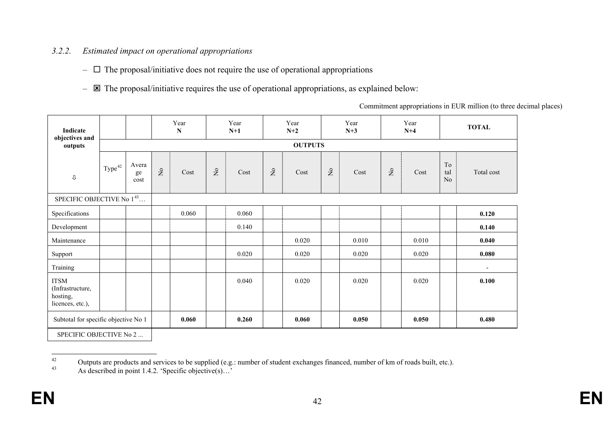# *3.2.2. Estimated impact on operational appropriations*

- $\Box$  The proposal/initiative does not require the use of operational appropriations
- $\boxtimes$  The proposal/initiative requires the use of operational appropriations, as explained below:

<span id="page-42-1"></span><span id="page-42-0"></span>Commitment appropriations in EUR million (to three decimal places)

| Indicate<br>objectives and                                      |                    |                     |                                    | Year<br>N |                           | Year<br>$N+1$ |                       | Year<br>$N+2$ |                       | Year<br>$N+3$ |              | Year<br>$N+4$ |                                  | <b>TOTAL</b>             |
|-----------------------------------------------------------------|--------------------|---------------------|------------------------------------|-----------|---------------------------|---------------|-----------------------|---------------|-----------------------|---------------|--------------|---------------|----------------------------------|--------------------------|
| outputs                                                         |                    | <b>OUTPUTS</b>      |                                    |           |                           |               |                       |               |                       |               |              |               |                                  |                          |
| $\mho$                                                          | Type <sup>42</sup> | Avera<br>ge<br>cost | $\rm \stackrel{\circ}{\mathbf{Z}}$ | Cost      | $\mathsf{S}^{\mathsf{o}}$ | Cost          | $\mathop{\mathsf{S}}$ | Cost          | $\mathop{\mathsf{S}}$ | Cost          | $\mathsf{S}$ | Cost          | $\operatorname{To}$<br>tal<br>No | Total cost               |
| SPECIFIC OBJECTIVE No 143                                       |                    |                     |                                    |           |                           |               |                       |               |                       |               |              |               |                                  |                          |
| Specifications                                                  |                    |                     |                                    | 0.060     |                           | 0.060         |                       |               |                       |               |              |               |                                  | 0.120                    |
| Development                                                     |                    |                     |                                    |           |                           | 0.140         |                       |               |                       |               |              |               |                                  | 0.140                    |
| Maintenance                                                     |                    |                     |                                    |           |                           |               |                       | 0.020         |                       | 0.010         |              | 0.010         |                                  | 0.040                    |
| Support                                                         |                    |                     |                                    |           |                           | 0.020         |                       | 0.020         |                       | 0.020         |              | 0.020         |                                  | 0.080                    |
| Training                                                        |                    |                     |                                    |           |                           |               |                       |               |                       |               |              |               |                                  | $\overline{\phantom{a}}$ |
| <b>ITSM</b><br>(Infrastructure,<br>hosting,<br>licences, etc.), |                    |                     |                                    |           |                           | 0.040         |                       | 0.020         |                       | 0.020         |              | 0.020         |                                  | 0.100                    |
| Subtotal for specific objective No 1                            |                    |                     | 0.060                              |           | 0.260                     |               | 0.060                 |               | 0.050                 |               | 0.050        |               | 0.480                            |                          |

SPECIFIC OBJECTIVE No 2 ...

<sup>&</sup>lt;sup>42</sup> Outputs are products and services to be supplied (e.g.: number of student exchanges financed, number of km of roads built, etc.).<br><sup>43</sup> As described in point 1.4.2. 'Specific objective(s)...'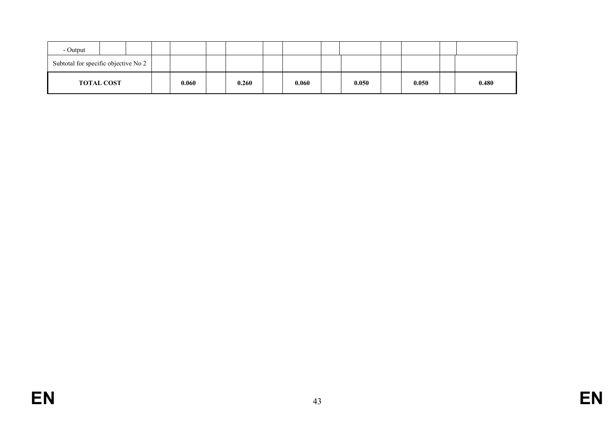| - Output                             |  |       |       |       |       |       |       |
|--------------------------------------|--|-------|-------|-------|-------|-------|-------|
| Subtotal for specific objective No 2 |  |       |       |       |       |       |       |
| <b>TOTAL COST</b>                    |  | 0.060 | 0.260 | 0.060 | 0.050 | 0.050 | 0.480 |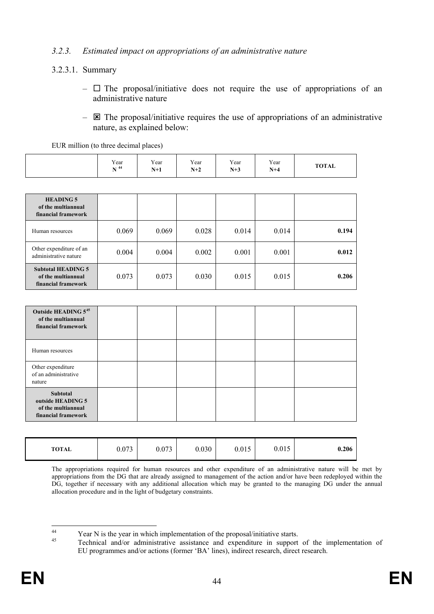#### *3.2.3. Estimated impact on appropriations of an administrative nature*

### 3.2.3.1. Summary

EUR million (to three decimal places)

- $\Box$  The proposal/initiative does not require the use of appropriations of an administrative nature
- $\boxtimes$  The proposal/initiative requires the use of appropriations of an administrative nature, as explained below:

|                                      | ___<br>________ |               |               |               |              |
|--------------------------------------|-----------------|---------------|---------------|---------------|--------------|
| Year<br><b>NT</b> 44<br>$\mathbf{1}$ | Year<br>$N+1$   | Year<br>$N+2$ | Year<br>$N+3$ | Year<br>$N+4$ | <b>TOTAL</b> |

| <b>HEADING 5</b><br>of the multiannual<br>financial framework          |       |       |       |       |       |       |
|------------------------------------------------------------------------|-------|-------|-------|-------|-------|-------|
| Human resources                                                        | 0.069 | 0.069 | 0.028 | 0.014 | 0.014 | 0.194 |
| Other expenditure of an<br>administrative nature                       | 0.004 | 0.004 | 0.002 | 0.001 | 0.001 | 0.012 |
| <b>Subtotal HEADING 5</b><br>of the multiannual<br>financial framework | 0.073 | 0.073 | 0.030 | 0.015 | 0.015 | 0.206 |

| Outside HEADING 545<br>of the multiannual<br>financial framework           |  |  |  |
|----------------------------------------------------------------------------|--|--|--|
| Human resources                                                            |  |  |  |
| Other expenditure<br>of an administrative<br>nature                        |  |  |  |
| Subtotal<br>outside HEADING 5<br>of the multiannual<br>financial framework |  |  |  |

| <b>TOTAL</b> | 0.073 | 072<br>0.073 | 0.030 | 0.015 | 0.015 | 0.206 |
|--------------|-------|--------------|-------|-------|-------|-------|
|--------------|-------|--------------|-------|-------|-------|-------|

The appropriations required for human resources and other expenditure of an administrative nature will be met by appropriations from the DG that are already assigned to management of the action and/or have been redeployed within the DG, together if necessary with any additional allocation which may be granted to the managing DG under the annual allocation procedure and in the light of budgetary constraints.

<span id="page-44-1"></span><span id="page-44-0"></span><sup>&</sup>lt;sup>44</sup><br><sup>45</sup> Year N is the year in which implementation of the proposal/initiative starts.<br>Technical and/or administrative assistance and expenditure in support of the implementation of EU programmes and/or actions (former 'BA' lines), indirect research, direct research.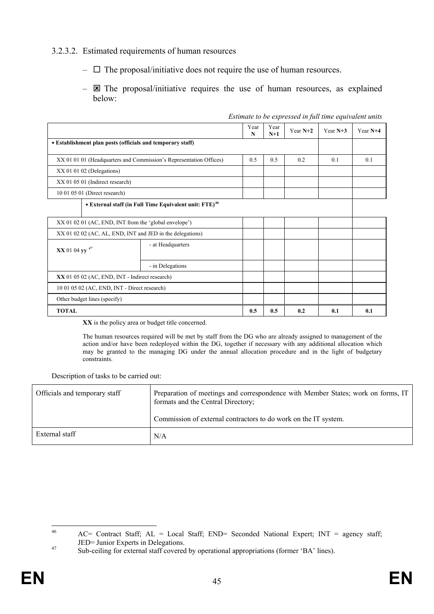#### 3.2.3.2. Estimated requirements of human resources

- $\Box$  The proposal/initiative does not require the use of human resources.
- $\boxtimes$  The proposal/initiative requires the use of human resources, as explained below:

|                                                  |                                                                    | Year<br>N | Year<br>$N+1$ | Year $N+2$ | Year $N+3$ | Year N+4 |  |
|--------------------------------------------------|--------------------------------------------------------------------|-----------|---------------|------------|------------|----------|--|
|                                                  | • Establishment plan posts (officials and temporary staff)         |           |               |            |            |          |  |
|                                                  | XX 01 01 01 (Headquarters and Commission's Representation Offices) | 0.5       | 0.5           | 0.2        | 0.1        | 0.1      |  |
| $XX$ 01 01 02 (Delegations)                      |                                                                    |           |               |            |            |          |  |
| XX 01 05 01 (Indirect research)                  |                                                                    |           |               |            |            |          |  |
| 10 01 05 01 (Direct research)                    |                                                                    |           |               |            |            |          |  |
|                                                  | • External staff (in Full Time Equivalent unit: FTE) <sup>46</sup> |           |               |            |            |          |  |
|                                                  | XX 01 02 01 (AC, END, INT from the 'global envelope')              |           |               |            |            |          |  |
|                                                  | XX 01 02 02 (AC, AL, END, INT and JED in the delegations)          |           |               |            |            |          |  |
| XX 01 04 yy <sup>47</sup>                        | - at Headquarters                                                  |           |               |            |            |          |  |
|                                                  | - in Delegations                                                   |           |               |            |            |          |  |
| $XX$ 01 05 02 (AC, END, INT - Indirect research) |                                                                    |           |               |            |            |          |  |
| 10 01 05 02 (AC, END, INT - Direct research)     |                                                                    |           |               |            |            |          |  |
| Other budget lines (specify)                     |                                                                    |           |               |            |            |          |  |
| <b>TOTAL</b>                                     |                                                                    | 0.5       | 0.5           | 0.2        | 0.1        | 0.1      |  |

*Estimate to be expressed in full time equivalent units*

**XX** is the policy area or budget title concerned.

The human resources required will be met by staff from the DG who are already assigned to management of the action and/or have been redeployed within the DG, together if necessary with any additional allocation which may be granted to the managing DG under the annual allocation procedure and in the light of budgetary constraints.

Description of tasks to be carried out:

| Officials and temporary staff | Preparation of meetings and correspondence with Member States; work on forms, IT<br>formats and the Central Directory; |
|-------------------------------|------------------------------------------------------------------------------------------------------------------------|
|                               | Commission of external contractors to do work on the IT system.                                                        |
| External staff                | N/A                                                                                                                    |

<span id="page-45-1"></span><span id="page-45-0"></span> <sup>46</sup> AC= Contract Staff; AL = Local Staff; END= Seconded National Expert; INT = agency staff; JED= Junior Experts in Delegations.<br>Sub-ceiling for external staff covered by operational appropriations (former 'BA' lines).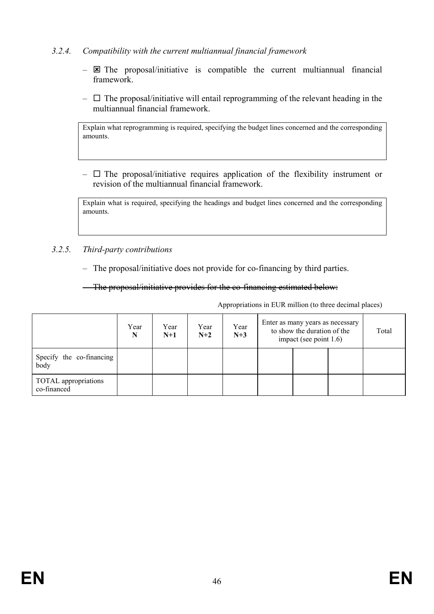### *3.2.4. Compatibility with the current multiannual financial framework*

- $\boxtimes$  The proposal/initiative is compatible the current multiannual financial framework.
- $\Box$  The proposal/initiative will entail reprogramming of the relevant heading in the multiannual financial framework.

Explain what reprogramming is required, specifying the budget lines concerned and the corresponding amounts.

 $\Box$  The proposal/initiative requires application of the flexibility instrument or revision of the multiannual financial framework.

Explain what is required, specifying the headings and budget lines concerned and the corresponding amounts.

#### *3.2.5. Third-party contributions*

– The proposal/initiative does not provide for co-financing by third parties.

– The proposal/initiative provides for the co-financing estimated below:

Appropriations in EUR million (to three decimal places)

|                                     | Year<br>N | Year<br>$N+1$ | Year<br>$N+2$ | Year<br>$N+3$ | Enter as many years as necessary<br>to show the duration of the<br>impact (see point $1.6$ ) |  |  |
|-------------------------------------|-----------|---------------|---------------|---------------|----------------------------------------------------------------------------------------------|--|--|
| Specify the co-financing<br>body    |           |               |               |               |                                                                                              |  |  |
| TOTAL appropriations<br>co-financed |           |               |               |               |                                                                                              |  |  |